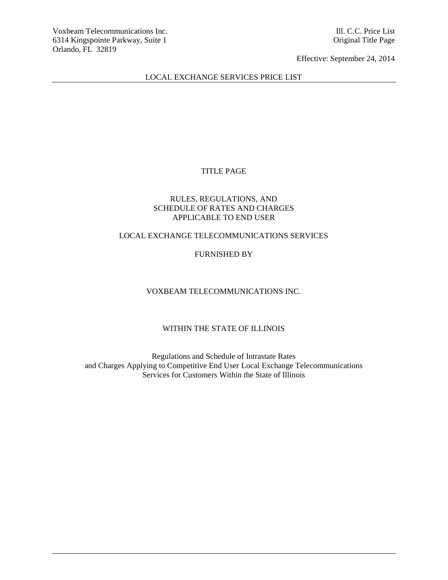## LOCAL EXCHANGE SERVICES PRICE LIST

# TITLE PAGE

## RULES, REGULATIONS, AND SCHEDULE OF RATES AND CHARGES APPLICABLE TO END USER

## LOCAL EXCHANGE TELECOMMUNICATIONS SERVICES

# FURNISHED BY

# VOXBEAM TELECOMMUNICATIONS INC.

# WITHIN THE STATE OF ILLINOIS

Regulations and Schedule of Intrastate Rates and Charges Applying to Competitive End User Local Exchange Telecommunications Services for Customers Within the State of Illinois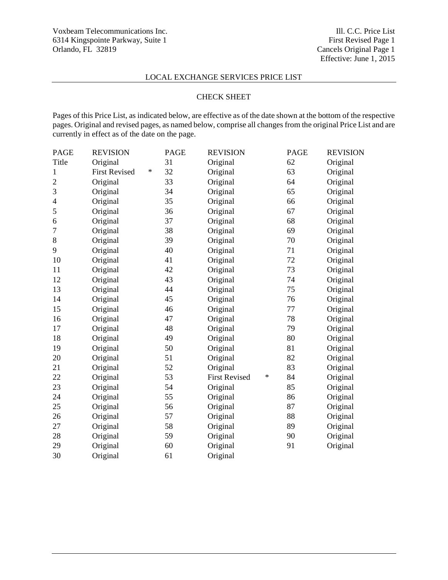## LOCAL EXCHANGE SERVICES PRICE LIST

## CHECK SHEET

Pages of this Price List, as indicated below, are effective as of the date shown at the bottom of the respective pages. Original and revised pages, as named below, comprise all changes from the original Price List and are currently in effect as of the date on the page.

| <b>PAGE</b>              | <b>REVISION</b>      |        | <b>PAGE</b> | <b>REVISION</b>      |   | <b>PAGE</b> | <b>REVISION</b> |
|--------------------------|----------------------|--------|-------------|----------------------|---|-------------|-----------------|
| Title                    | Original             |        | 31          | Original             |   | 62          | Original        |
| 1                        | <b>First Revised</b> | $\ast$ | 32          | Original             |   | 63          | Original        |
| $\sqrt{2}$               | Original             |        | 33          | Original             |   | 64          | Original        |
| 3                        | Original             |        | 34          | Original             |   | 65          | Original        |
| $\overline{\mathcal{L}}$ | Original             |        | 35          | Original             |   | 66          | Original        |
| 5                        | Original             |        | 36          | Original             |   | 67          | Original        |
| 6                        | Original             |        | 37          | Original             |   | 68          | Original        |
| 7                        | Original             |        | 38          | Original             |   | 69          | Original        |
| 8                        | Original             |        | 39          | Original             |   | 70          | Original        |
| 9                        | Original             |        | 40          | Original             |   | 71          | Original        |
| 10                       | Original             |        | 41          | Original             |   | 72          | Original        |
| 11                       | Original             |        | 42          | Original             |   | 73          | Original        |
| 12                       | Original             |        | 43          | Original             |   | 74          | Original        |
| 13                       | Original             |        | 44          | Original             |   | 75          | Original        |
| 14                       | Original             |        | 45          | Original             |   | 76          | Original        |
| 15                       | Original             |        | 46          | Original             |   | 77          | Original        |
| 16                       | Original             |        | 47          | Original             |   | 78          | Original        |
| 17                       | Original             |        | 48          | Original             |   | 79          | Original        |
| 18                       | Original             |        | 49          | Original             |   | 80          | Original        |
| 19                       | Original             |        | 50          | Original             |   | 81          | Original        |
| 20                       | Original             |        | 51          | Original             |   | 82          | Original        |
| 21                       | Original             |        | 52          | Original             |   | 83          | Original        |
| 22                       | Original             |        | 53          | <b>First Revised</b> | ∗ | 84          | Original        |
| 23                       | Original             |        | 54          | Original             |   | 85          | Original        |
| 24                       | Original             |        | 55          | Original             |   | 86          | Original        |
| 25                       | Original             |        | 56          | Original             |   | 87          | Original        |
| 26                       | Original             |        | 57          | Original             |   | 88          | Original        |
| 27                       | Original             |        | 58          | Original             |   | 89          | Original        |
| 28                       | Original             |        | 59          | Original             |   | 90          | Original        |
| 29                       | Original             |        | 60          | Original             |   | 91          | Original        |
| 30                       | Original             |        | 61          | Original             |   |             |                 |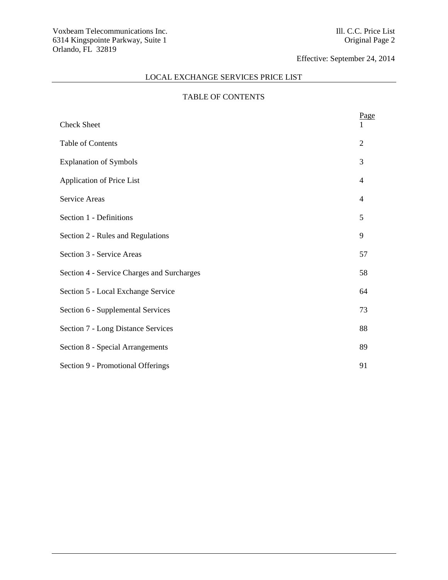# LOCAL EXCHANGE SERVICES PRICE LIST

# TABLE OF CONTENTS

| <b>Check Sheet</b>                         | Page           |
|--------------------------------------------|----------------|
| Table of Contents                          | $\overline{2}$ |
| <b>Explanation of Symbols</b>              | 3              |
| Application of Price List                  | 4              |
| Service Areas                              | $\overline{4}$ |
| Section 1 - Definitions                    | 5              |
| Section 2 - Rules and Regulations          | 9              |
| Section 3 - Service Areas                  | 57             |
| Section 4 - Service Charges and Surcharges | 58             |
| Section 5 - Local Exchange Service         | 64             |
| Section 6 - Supplemental Services          | 73             |
| Section 7 - Long Distance Services         | 88             |
| Section 8 - Special Arrangements           | 89             |
| Section 9 - Promotional Offerings          | 91             |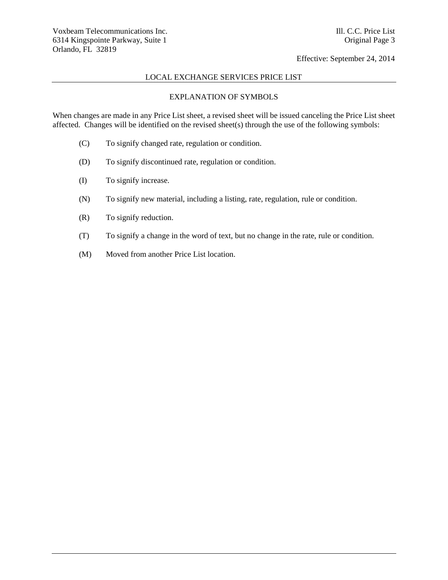## LOCAL EXCHANGE SERVICES PRICE LIST

## EXPLANATION OF SYMBOLS

When changes are made in any Price List sheet, a revised sheet will be issued canceling the Price List sheet affected. Changes will be identified on the revised sheet(s) through the use of the following symbols:

- (C) To signify changed rate, regulation or condition.
- (D) To signify discontinued rate, regulation or condition.
- (I) To signify increase.
- (N) To signify new material, including a listing, rate, regulation, rule or condition.
- (R) To signify reduction.
- (T) To signify a change in the word of text, but no change in the rate, rule or condition.
- (M) Moved from another Price List location.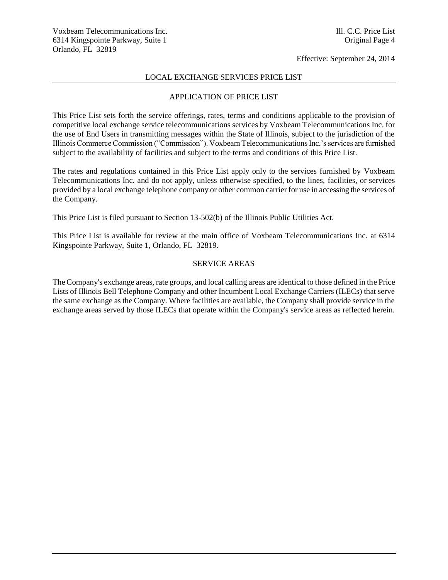### LOCAL EXCHANGE SERVICES PRICE LIST

### APPLICATION OF PRICE LIST

This Price List sets forth the service offerings, rates, terms and conditions applicable to the provision of competitive local exchange service telecommunications services by Voxbeam Telecommunications Inc. for the use of End Users in transmitting messages within the State of Illinois, subject to the jurisdiction of the Illinois Commerce Commission ("Commission"). Voxbeam Telecommunications Inc.'s services are furnished subject to the availability of facilities and subject to the terms and conditions of this Price List.

The rates and regulations contained in this Price List apply only to the services furnished by Voxbeam Telecommunications Inc. and do not apply, unless otherwise specified, to the lines, facilities, or services provided by a local exchange telephone company or other common carrier for use in accessing the services of the Company.

This Price List is filed pursuant to Section 13-502(b) of the Illinois Public Utilities Act.

This Price List is available for review at the main office of Voxbeam Telecommunications Inc. at 6314 Kingspointe Parkway, Suite 1, Orlando, FL 32819.

### SERVICE AREAS

The Company's exchange areas, rate groups, and local calling areas are identical to those defined in the Price Lists of Illinois Bell Telephone Company and other Incumbent Local Exchange Carriers (ILECs) that serve the same exchange as the Company. Where facilities are available, the Company shall provide service in the exchange areas served by those ILECs that operate within the Company's service areas as reflected herein.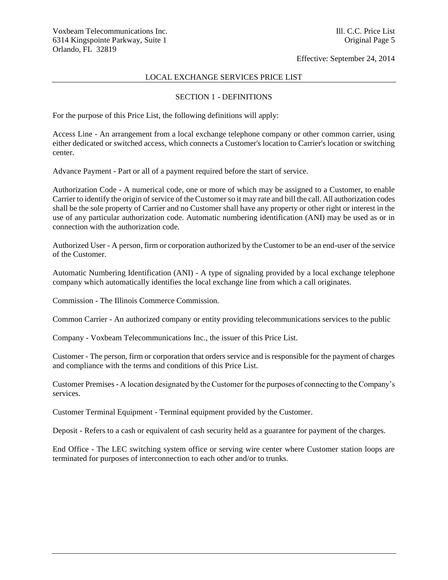## LOCAL EXCHANGE SERVICES PRICE LIST

### SECTION 1 - DEFINITIONS

For the purpose of this Price List, the following definitions will apply:

Access Line - An arrangement from a local exchange telephone company or other common carrier, using either dedicated or switched access, which connects a Customer's location to Carrier's location or switching center.

Advance Payment - Part or all of a payment required before the start of service.

Authorization Code - A numerical code, one or more of which may be assigned to a Customer, to enable Carrier to identify the origin of service of the Customer so it may rate and bill the call. All authorization codes shall be the sole property of Carrier and no Customer shall have any property or other right or interest in the use of any particular authorization code. Automatic numbering identification (ANI) may be used as or in connection with the authorization code.

Authorized User - A person, firm or corporation authorized by the Customer to be an end-user of the service of the Customer.

Automatic Numbering Identification (ANI) - A type of signaling provided by a local exchange telephone company which automatically identifies the local exchange line from which a call originates.

Commission - The Illinois Commerce Commission.

Common Carrier - An authorized company or entity providing telecommunications services to the public

Company - Voxbeam Telecommunications Inc., the issuer of this Price List.

Customer - The person, firm or corporation that orders service and is responsible for the payment of charges and compliance with the terms and conditions of this Price List.

Customer Premises - A location designated by the Customer for the purposes of connecting to the Company's services.

Customer Terminal Equipment - Terminal equipment provided by the Customer.

Deposit - Refers to a cash or equivalent of cash security held as a guarantee for payment of the charges.

End Office - The LEC switching system office or serving wire center where Customer station loops are terminated for purposes of interconnection to each other and/or to trunks.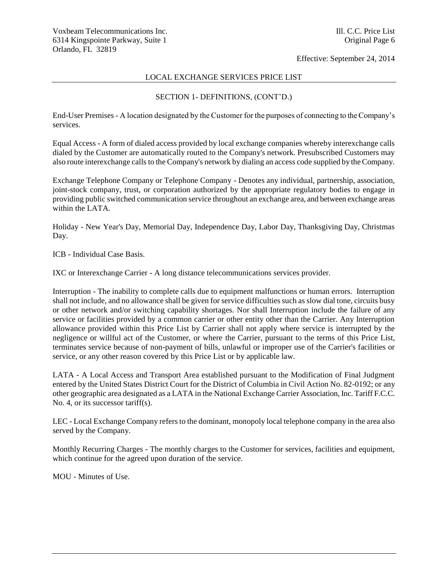## LOCAL EXCHANGE SERVICES PRICE LIST

## SECTION 1- DEFINITIONS, (CONT'D.)

End-User Premises - A location designated by the Customer for the purposes of connecting to the Company's services.

Equal Access - A form of dialed access provided by local exchange companies whereby interexchange calls dialed by the Customer are automatically routed to the Company's network. Presubscribed Customers may also route interexchange calls to the Company's network by dialing an access code supplied by the Company.

Exchange Telephone Company or Telephone Company - Denotes any individual, partnership, association, joint-stock company, trust, or corporation authorized by the appropriate regulatory bodies to engage in providing public switched communication service throughout an exchange area, and between exchange areas within the LATA.

Holiday - New Year's Day, Memorial Day, Independence Day, Labor Day, Thanksgiving Day, Christmas Day.

ICB - Individual Case Basis.

IXC or Interexchange Carrier - A long distance telecommunications services provider.

Interruption - The inability to complete calls due to equipment malfunctions or human errors. Interruption shall not include, and no allowance shall be given for service difficulties such as slow dial tone, circuits busy or other network and/or switching capability shortages. Nor shall Interruption include the failure of any service or facilities provided by a common carrier or other entity other than the Carrier. Any Interruption allowance provided within this Price List by Carrier shall not apply where service is interrupted by the negligence or willful act of the Customer, or where the Carrier, pursuant to the terms of this Price List, terminates service because of non-payment of bills, unlawful or improper use of the Carrier's facilities or service, or any other reason covered by this Price List or by applicable law.

LATA - A Local Access and Transport Area established pursuant to the Modification of Final Judgment entered by the United States District Court for the District of Columbia in Civil Action No. 82-0192; or any other geographic area designated as a LATA in the National Exchange Carrier Association, Inc. Tariff F.C.C. No. 4, or its successor tariff(s).

LEC - Local Exchange Company refers to the dominant, monopoly local telephone company in the area also served by the Company.

Monthly Recurring Charges - The monthly charges to the Customer for services, facilities and equipment, which continue for the agreed upon duration of the service.

MOU - Minutes of Use.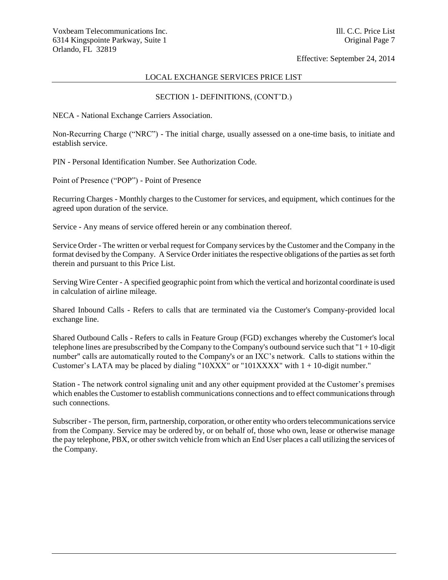### LOCAL EXCHANGE SERVICES PRICE LIST

## SECTION 1- DEFINITIONS, (CONT'D.)

NECA - National Exchange Carriers Association.

Non-Recurring Charge ("NRC") - The initial charge, usually assessed on a one-time basis, to initiate and establish service.

PIN - Personal Identification Number. See Authorization Code.

Point of Presence ("POP") - Point of Presence

Recurring Charges - Monthly charges to the Customer for services, and equipment, which continues for the agreed upon duration of the service.

Service - Any means of service offered herein or any combination thereof.

Service Order - The written or verbal request for Company services by the Customer and the Company in the format devised by the Company. A Service Order initiates the respective obligations of the parties as set forth therein and pursuant to this Price List.

Serving Wire Center - A specified geographic point from which the vertical and horizontal coordinate is used in calculation of airline mileage.

Shared Inbound Calls - Refers to calls that are terminated via the Customer's Company-provided local exchange line.

Shared Outbound Calls - Refers to calls in Feature Group (FGD) exchanges whereby the Customer's local telephone lines are presubscribed by the Company to the Company's outbound service such that "1 + 10-digit number" calls are automatically routed to the Company's or an IXC's network. Calls to stations within the Customer's LATA may be placed by dialing " $10XXX$ " or " $101XXXX$ " with  $1 + 10$ -digit number."

Station - The network control signaling unit and any other equipment provided at the Customer's premises which enables the Customer to establish communications connections and to effect communications through such connections.

Subscriber - The person, firm, partnership, corporation, or other entity who orders telecommunications service from the Company. Service may be ordered by, or on behalf of, those who own, lease or otherwise manage the pay telephone, PBX, or other switch vehicle from which an End User places a call utilizing the services of the Company.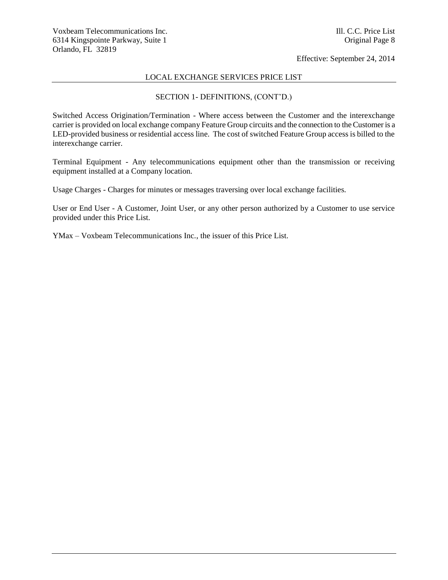### LOCAL EXCHANGE SERVICES PRICE LIST

## SECTION 1- DEFINITIONS, (CONT'D.)

Switched Access Origination/Termination - Where access between the Customer and the interexchange carrier is provided on local exchange company Feature Group circuits and the connection to the Customer is a LED-provided business or residential access line. The cost of switched Feature Group access is billed to the interexchange carrier.

Terminal Equipment - Any telecommunications equipment other than the transmission or receiving equipment installed at a Company location.

Usage Charges - Charges for minutes or messages traversing over local exchange facilities.

User or End User - A Customer, Joint User, or any other person authorized by a Customer to use service provided under this Price List.

YMax – Voxbeam Telecommunications Inc., the issuer of this Price List.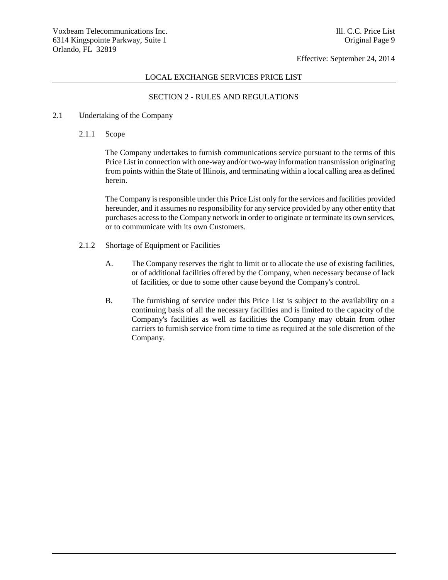### LOCAL EXCHANGE SERVICES PRICE LIST

## SECTION 2 - RULES AND REGULATIONS

### 2.1 Undertaking of the Company

2.1.1 Scope

The Company undertakes to furnish communications service pursuant to the terms of this Price List in connection with one-way and/or two-way information transmission originating from points within the State of Illinois, and terminating within a local calling area as defined herein.

The Company is responsible under this Price List only for the services and facilities provided hereunder, and it assumes no responsibility for any service provided by any other entity that purchases access to the Company network in order to originate or terminate its own services, or to communicate with its own Customers.

- 2.1.2 Shortage of Equipment or Facilities
	- A. The Company reserves the right to limit or to allocate the use of existing facilities, or of additional facilities offered by the Company, when necessary because of lack of facilities, or due to some other cause beyond the Company's control.
	- B. The furnishing of service under this Price List is subject to the availability on a continuing basis of all the necessary facilities and is limited to the capacity of the Company's facilities as well as facilities the Company may obtain from other carriers to furnish service from time to time as required at the sole discretion of the Company.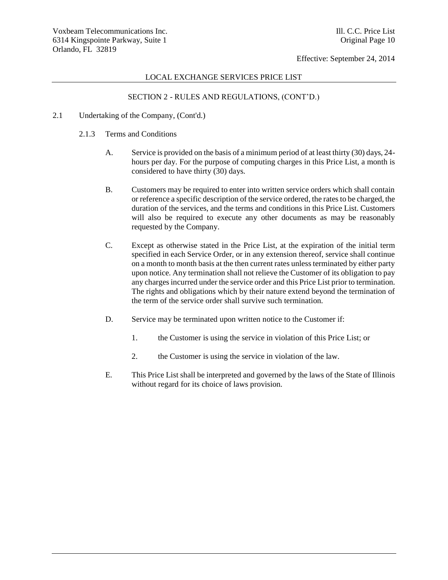### LOCAL EXCHANGE SERVICES PRICE LIST

- 2.1 Undertaking of the Company, (Cont'd.)
	- 2.1.3 Terms and Conditions
		- A. Service is provided on the basis of a minimum period of at least thirty (30) days, 24 hours per day. For the purpose of computing charges in this Price List, a month is considered to have thirty (30) days.
		- B. Customers may be required to enter into written service orders which shall contain or reference a specific description of the service ordered, the rates to be charged, the duration of the services, and the terms and conditions in this Price List. Customers will also be required to execute any other documents as may be reasonably requested by the Company.
		- C. Except as otherwise stated in the Price List, at the expiration of the initial term specified in each Service Order, or in any extension thereof, service shall continue on a month to month basis at the then current rates unless terminated by either party upon notice. Any termination shall not relieve the Customer of its obligation to pay any charges incurred under the service order and this Price List prior to termination. The rights and obligations which by their nature extend beyond the termination of the term of the service order shall survive such termination.
		- D. Service may be terminated upon written notice to the Customer if:
			- 1. the Customer is using the service in violation of this Price List; or
			- 2. the Customer is using the service in violation of the law.
		- E. This Price List shall be interpreted and governed by the laws of the State of Illinois without regard for its choice of laws provision.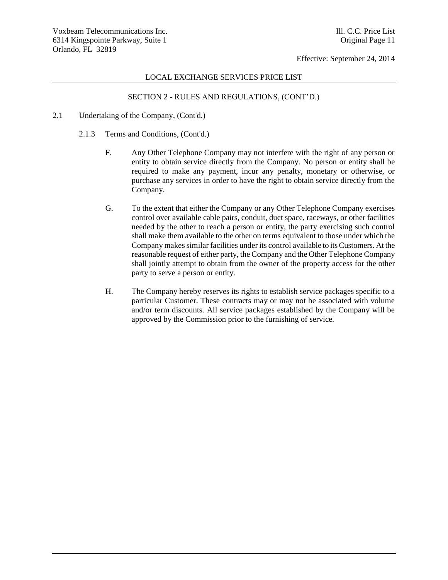### LOCAL EXCHANGE SERVICES PRICE LIST

- 2.1 Undertaking of the Company, (Cont'd.)
	- 2.1.3 Terms and Conditions, (Cont'd.)
		- F. Any Other Telephone Company may not interfere with the right of any person or entity to obtain service directly from the Company. No person or entity shall be required to make any payment, incur any penalty, monetary or otherwise, or purchase any services in order to have the right to obtain service directly from the Company.
		- G. To the extent that either the Company or any Other Telephone Company exercises control over available cable pairs, conduit, duct space, raceways, or other facilities needed by the other to reach a person or entity, the party exercising such control shall make them available to the other on terms equivalent to those under which the Company makes similar facilities under its control available to its Customers. At the reasonable request of either party, the Company and the Other Telephone Company shall jointly attempt to obtain from the owner of the property access for the other party to serve a person or entity.
		- H. The Company hereby reserves its rights to establish service packages specific to a particular Customer. These contracts may or may not be associated with volume and/or term discounts. All service packages established by the Company will be approved by the Commission prior to the furnishing of service.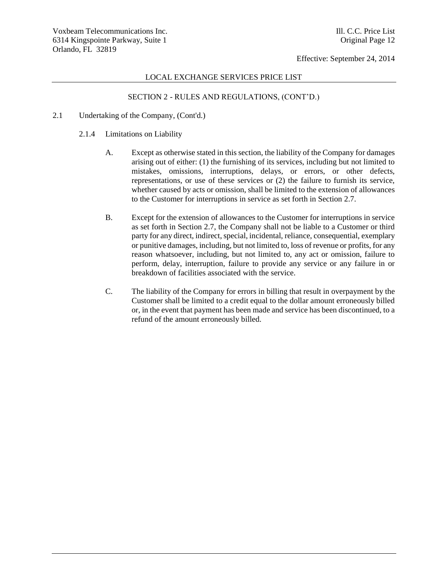## LOCAL EXCHANGE SERVICES PRICE LIST

- 2.1 Undertaking of the Company, (Cont'd.)
	- 2.1.4 Limitations on Liability
		- A. Except as otherwise stated in this section, the liability of the Company for damages arising out of either: (1) the furnishing of its services, including but not limited to mistakes, omissions, interruptions, delays, or errors, or other defects, representations, or use of these services or (2) the failure to furnish its service, whether caused by acts or omission, shall be limited to the extension of allowances to the Customer for interruptions in service as set forth in Section 2.7.
		- B. Except for the extension of allowances to the Customer for interruptions in service as set forth in Section 2.7, the Company shall not be liable to a Customer or third party for any direct, indirect, special, incidental, reliance, consequential, exemplary or punitive damages, including, but not limited to, loss of revenue or profits, for any reason whatsoever, including, but not limited to, any act or omission, failure to perform, delay, interruption, failure to provide any service or any failure in or breakdown of facilities associated with the service.
		- C. The liability of the Company for errors in billing that result in overpayment by the Customer shall be limited to a credit equal to the dollar amount erroneously billed or, in the event that payment has been made and service has been discontinued, to a refund of the amount erroneously billed.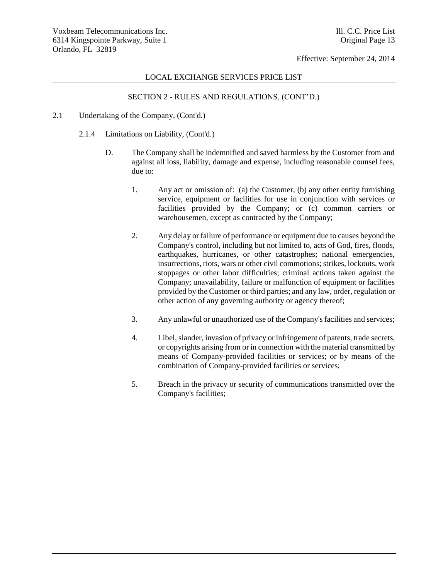## LOCAL EXCHANGE SERVICES PRICE LIST

- 2.1 Undertaking of the Company, (Cont'd.)
	- 2.1.4 Limitations on Liability, (Cont'd.)
		- D. The Company shall be indemnified and saved harmless by the Customer from and against all loss, liability, damage and expense, including reasonable counsel fees, due to:
			- 1. Any act or omission of: (a) the Customer, (b) any other entity furnishing service, equipment or facilities for use in conjunction with services or facilities provided by the Company; or (c) common carriers or warehousemen, except as contracted by the Company;
			- 2. Any delay or failure of performance or equipment due to causes beyond the Company's control, including but not limited to, acts of God, fires, floods, earthquakes, hurricanes, or other catastrophes; national emergencies, insurrections, riots, wars or other civil commotions; strikes, lockouts, work stoppages or other labor difficulties; criminal actions taken against the Company; unavailability, failure or malfunction of equipment or facilities provided by the Customer or third parties; and any law, order, regulation or other action of any governing authority or agency thereof;
			- 3. Any unlawful or unauthorized use of the Company's facilities and services;
			- 4. Libel, slander, invasion of privacy or infringement of patents, trade secrets, or copyrights arising from or in connection with the material transmitted by means of Company-provided facilities or services; or by means of the combination of Company-provided facilities or services;
			- 5. Breach in the privacy or security of communications transmitted over the Company's facilities;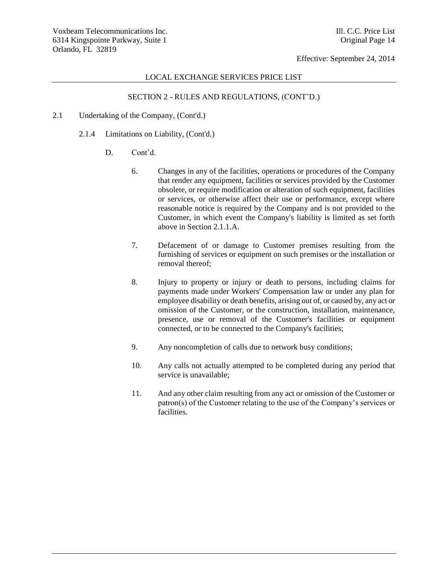## LOCAL EXCHANGE SERVICES PRICE LIST

- 2.1 Undertaking of the Company, (Cont'd.)
	- 2.1.4 Limitations on Liability, (Cont'd.)
		- D. Cont'd.
			- 6. Changes in any of the facilities, operations or procedures of the Company that render any equipment, facilities or services provided by the Customer obsolete, or require modification or alteration of such equipment, facilities or services, or otherwise affect their use or performance, except where reasonable notice is required by the Company and is not provided to the Customer, in which event the Company's liability is limited as set forth above in Section 2.1.1.A.
			- 7. Defacement of or damage to Customer premises resulting from the furnishing of services or equipment on such premises or the installation or removal thereof;
			- 8. Injury to property or injury or death to persons, including claims for payments made under Workers' Compensation law or under any plan for employee disability or death benefits, arising out of, or caused by, any act or omission of the Customer, or the construction, installation, maintenance, presence, use or removal of the Customer's facilities or equipment connected, or to be connected to the Company's facilities;
			- 9. Any noncompletion of calls due to network busy conditions;
			- 10. Any calls not actually attempted to be completed during any period that service is unavailable;
			- 11. And any other claim resulting from any act or omission of the Customer or patron(s) of the Customer relating to the use of the Company's services or facilities.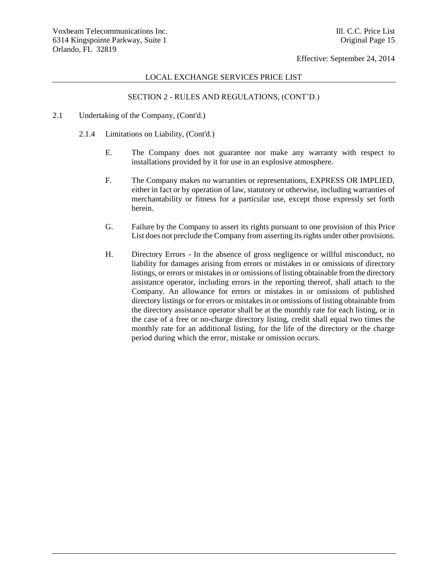### LOCAL EXCHANGE SERVICES PRICE LIST

- 2.1 Undertaking of the Company, (Cont'd.)
	- 2.1.4 Limitations on Liability, (Cont'd.)
		- E. The Company does not guarantee nor make any warranty with respect to installations provided by it for use in an explosive atmosphere.
		- F. The Company makes no warranties or representations, EXPRESS OR IMPLIED, either in fact or by operation of law, statutory or otherwise, including warranties of merchantability or fitness for a particular use, except those expressly set forth herein.
		- G. Failure by the Company to assert its rights pursuant to one provision of this Price List does not preclude the Company from asserting its rights under other provisions.
		- H. Directory Errors In the absence of gross negligence or willful misconduct, no liability for damages arising from errors or mistakes in or omissions of directory listings, or errors or mistakes in or omissions of listing obtainable from the directory assistance operator, including errors in the reporting thereof, shall attach to the Company. An allowance for errors or mistakes in or omissions of published directory listings or for errors or mistakes in or omissions of listing obtainable from the directory assistance operator shall be at the monthly rate for each listing, or in the case of a free or no-charge directory listing, credit shall equal two times the monthly rate for an additional listing, for the life of the directory or the charge period during which the error, mistake or omission occurs.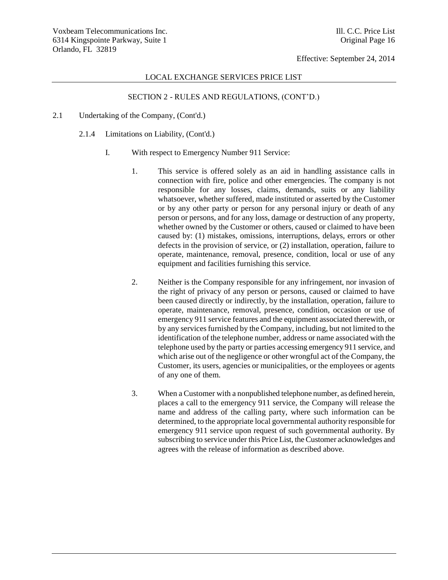### LOCAL EXCHANGE SERVICES PRICE LIST

- 2.1 Undertaking of the Company, (Cont'd.)
	- 2.1.4 Limitations on Liability, (Cont'd.)
		- I. With respect to Emergency Number 911 Service:
			- 1. This service is offered solely as an aid in handling assistance calls in connection with fire, police and other emergencies. The company is not responsible for any losses, claims, demands, suits or any liability whatsoever, whether suffered, made instituted or asserted by the Customer or by any other party or person for any personal injury or death of any person or persons, and for any loss, damage or destruction of any property, whether owned by the Customer or others, caused or claimed to have been caused by: (1) mistakes, omissions, interruptions, delays, errors or other defects in the provision of service, or (2) installation, operation, failure to operate, maintenance, removal, presence, condition, local or use of any equipment and facilities furnishing this service.
			- 2. Neither is the Company responsible for any infringement, nor invasion of the right of privacy of any person or persons, caused or claimed to have been caused directly or indirectly, by the installation, operation, failure to operate, maintenance, removal, presence, condition, occasion or use of emergency 911 service features and the equipment associated therewith, or by any services furnished by the Company, including, but not limited to the identification of the telephone number, address or name associated with the telephone used by the party or parties accessing emergency 911 service, and which arise out of the negligence or other wrongful act of the Company, the Customer, its users, agencies or municipalities, or the employees or agents of any one of them.
			- 3. When a Customer with a nonpublished telephone number, as defined herein, places a call to the emergency 911 service, the Company will release the name and address of the calling party, where such information can be determined, to the appropriate local governmental authority responsible for emergency 911 service upon request of such governmental authority. By subscribing to service under this Price List, the Customer acknowledges and agrees with the release of information as described above.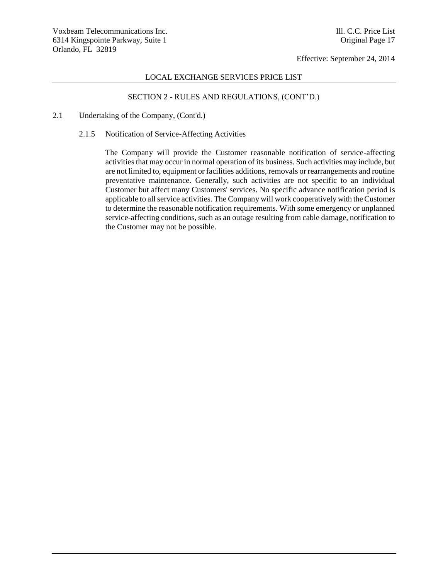## LOCAL EXCHANGE SERVICES PRICE LIST

# SECTION 2 - RULES AND REGULATIONS, (CONT'D.)

- 2.1 Undertaking of the Company, (Cont'd.)
	- 2.1.5 Notification of Service-Affecting Activities

The Company will provide the Customer reasonable notification of service-affecting activities that may occur in normal operation of its business. Such activities may include, but are not limited to, equipment or facilities additions, removals or rearrangements and routine preventative maintenance. Generally, such activities are not specific to an individual Customer but affect many Customers' services. No specific advance notification period is applicable to all service activities. The Company will work cooperatively with the Customer to determine the reasonable notification requirements. With some emergency or unplanned service-affecting conditions, such as an outage resulting from cable damage, notification to the Customer may not be possible.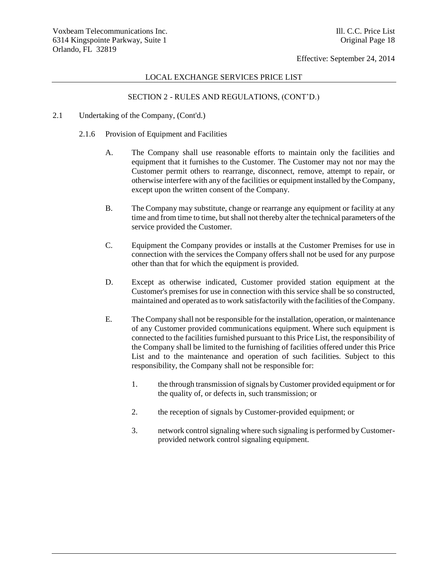## LOCAL EXCHANGE SERVICES PRICE LIST

- 2.1 Undertaking of the Company, (Cont'd.)
	- 2.1.6 Provision of Equipment and Facilities
		- A. The Company shall use reasonable efforts to maintain only the facilities and equipment that it furnishes to the Customer. The Customer may not nor may the Customer permit others to rearrange, disconnect, remove, attempt to repair, or otherwise interfere with any of the facilities or equipment installed by the Company, except upon the written consent of the Company.
		- B. The Company may substitute, change or rearrange any equipment or facility at any time and from time to time, but shall not thereby alter the technical parameters of the service provided the Customer.
		- C. Equipment the Company provides or installs at the Customer Premises for use in connection with the services the Company offers shall not be used for any purpose other than that for which the equipment is provided.
		- D. Except as otherwise indicated, Customer provided station equipment at the Customer's premises for use in connection with this service shall be so constructed, maintained and operated as to work satisfactorily with the facilities of the Company.
		- E. The Company shall not be responsible for the installation, operation, or maintenance of any Customer provided communications equipment. Where such equipment is connected to the facilities furnished pursuant to this Price List, the responsibility of the Company shall be limited to the furnishing of facilities offered under this Price List and to the maintenance and operation of such facilities. Subject to this responsibility, the Company shall not be responsible for:
			- 1. the through transmission of signals by Customer provided equipment or for the quality of, or defects in, such transmission; or
			- 2. the reception of signals by Customer-provided equipment; or
			- 3. network control signaling where such signaling is performed by Customerprovided network control signaling equipment.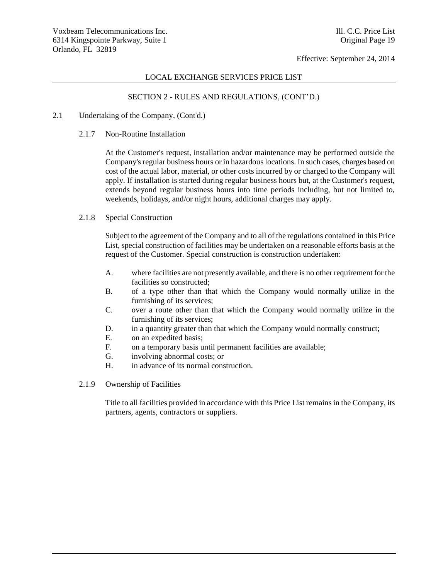### LOCAL EXCHANGE SERVICES PRICE LIST

## SECTION 2 - RULES AND REGULATIONS, (CONT'D.)

#### 2.1 Undertaking of the Company, (Cont'd.)

2.1.7 Non-Routine Installation

At the Customer's request, installation and/or maintenance may be performed outside the Company's regular business hours or in hazardous locations. In such cases, charges based on cost of the actual labor, material, or other costs incurred by or charged to the Company will apply. If installation is started during regular business hours but, at the Customer's request, extends beyond regular business hours into time periods including, but not limited to, weekends, holidays, and/or night hours, additional charges may apply.

## 2.1.8 Special Construction

Subject to the agreement of the Company and to all of the regulations contained in this Price List, special construction of facilities may be undertaken on a reasonable efforts basis at the request of the Customer. Special construction is construction undertaken:

- A. where facilities are not presently available, and there is no other requirement for the facilities so constructed;
- B. of a type other than that which the Company would normally utilize in the furnishing of its services;
- C. over a route other than that which the Company would normally utilize in the furnishing of its services;
- D. in a quantity greater than that which the Company would normally construct;
- E. on an expedited basis;
- F. on a temporary basis until permanent facilities are available;
- G. involving abnormal costs; or
- H. in advance of its normal construction.
- 2.1.9 Ownership of Facilities

Title to all facilities provided in accordance with this Price List remains in the Company, its partners, agents, contractors or suppliers.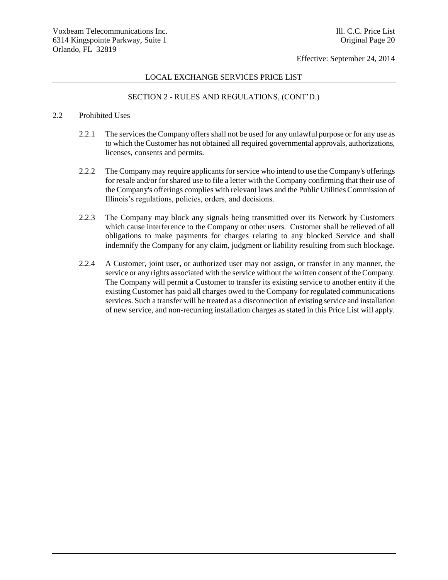### LOCAL EXCHANGE SERVICES PRICE LIST

## SECTION 2 - RULES AND REGULATIONS, (CONT'D.)

### 2.2 Prohibited Uses

- 2.2.1 The services the Company offers shall not be used for any unlawful purpose or for any use as to which the Customer has not obtained all required governmental approvals, authorizations, licenses, consents and permits.
- 2.2.2 The Company may require applicants for service who intend to use the Company's offerings for resale and/or for shared use to file a letter with the Company confirming that their use of the Company's offerings complies with relevant laws and the Public Utilities Commission of Illinois's regulations, policies, orders, and decisions.
- 2.2.3 The Company may block any signals being transmitted over its Network by Customers which cause interference to the Company or other users. Customer shall be relieved of all obligations to make payments for charges relating to any blocked Service and shall indemnify the Company for any claim, judgment or liability resulting from such blockage.
- 2.2.4 A Customer, joint user, or authorized user may not assign, or transfer in any manner, the service or any rights associated with the service without the written consent of the Company. The Company will permit a Customer to transfer its existing service to another entity if the existing Customer has paid all charges owed to the Company for regulated communications services. Such a transfer will be treated as a disconnection of existing service and installation of new service, and non-recurring installation charges as stated in this Price List will apply.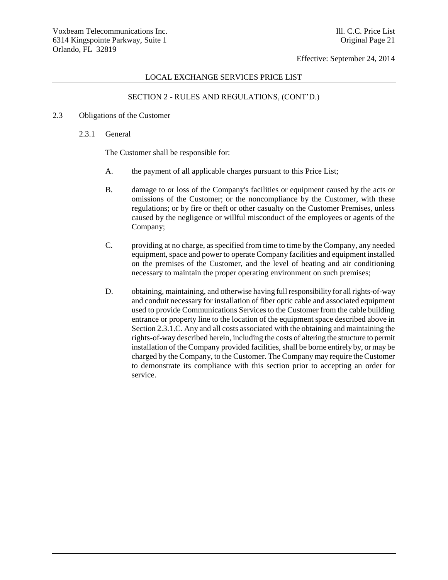### LOCAL EXCHANGE SERVICES PRICE LIST

## SECTION 2 - RULES AND REGULATIONS, (CONT'D.)

### 2.3 Obligations of the Customer

2.3.1 General

The Customer shall be responsible for:

- A. the payment of all applicable charges pursuant to this Price List;
- B. damage to or loss of the Company's facilities or equipment caused by the acts or omissions of the Customer; or the noncompliance by the Customer, with these regulations; or by fire or theft or other casualty on the Customer Premises, unless caused by the negligence or willful misconduct of the employees or agents of the Company;
- C. providing at no charge, as specified from time to time by the Company, any needed equipment, space and power to operate Company facilities and equipment installed on the premises of the Customer, and the level of heating and air conditioning necessary to maintain the proper operating environment on such premises;
- D. obtaining, maintaining, and otherwise having full responsibility for all rights-of-way and conduit necessary for installation of fiber optic cable and associated equipment used to provide Communications Services to the Customer from the cable building entrance or property line to the location of the equipment space described above in Section 2.3.1.C. Any and all costs associated with the obtaining and maintaining the rights-of-way described herein, including the costs of altering the structure to permit installation of the Company provided facilities, shall be borne entirely by, or may be charged by the Company, to the Customer. The Company may require the Customer to demonstrate its compliance with this section prior to accepting an order for service.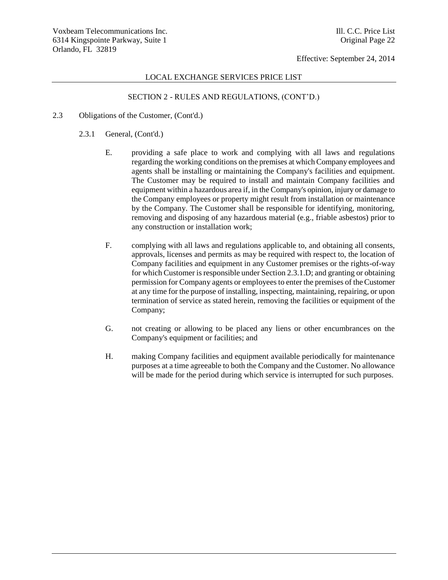### LOCAL EXCHANGE SERVICES PRICE LIST

- 2.3 Obligations of the Customer, (Cont'd.)
	- 2.3.1 General, (Cont'd.)
		- E. providing a safe place to work and complying with all laws and regulations regarding the working conditions on the premises at which Company employees and agents shall be installing or maintaining the Company's facilities and equipment. The Customer may be required to install and maintain Company facilities and equipment within a hazardous area if, in the Company's opinion, injury or damage to the Company employees or property might result from installation or maintenance by the Company. The Customer shall be responsible for identifying, monitoring, removing and disposing of any hazardous material (e.g., friable asbestos) prior to any construction or installation work;
		- F. complying with all laws and regulations applicable to, and obtaining all consents, approvals, licenses and permits as may be required with respect to, the location of Company facilities and equipment in any Customer premises or the rights-of-way for which Customer is responsible under Section 2.3.1.D; and granting or obtaining permission for Company agents or employees to enter the premises of the Customer at any time for the purpose of installing, inspecting, maintaining, repairing, or upon termination of service as stated herein, removing the facilities or equipment of the Company;
		- G. not creating or allowing to be placed any liens or other encumbrances on the Company's equipment or facilities; and
		- H. making Company facilities and equipment available periodically for maintenance purposes at a time agreeable to both the Company and the Customer. No allowance will be made for the period during which service is interrupted for such purposes.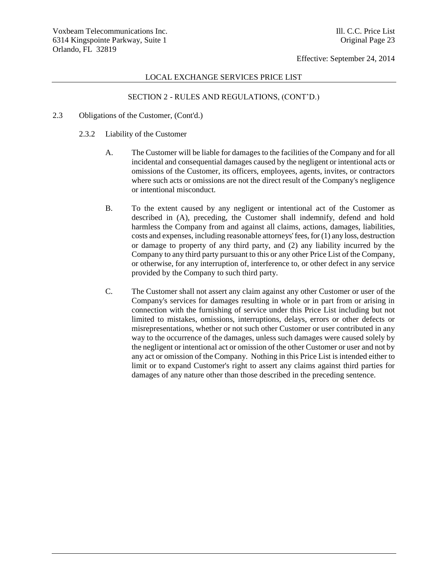### LOCAL EXCHANGE SERVICES PRICE LIST

- 2.3 Obligations of the Customer, (Cont'd.)
	- 2.3.2 Liability of the Customer
		- A. The Customer will be liable for damages to the facilities of the Company and for all incidental and consequential damages caused by the negligent or intentional acts or omissions of the Customer, its officers, employees, agents, invites, or contractors where such acts or omissions are not the direct result of the Company's negligence or intentional misconduct.
		- B. To the extent caused by any negligent or intentional act of the Customer as described in (A), preceding, the Customer shall indemnify, defend and hold harmless the Company from and against all claims, actions, damages, liabilities, costs and expenses, including reasonable attorneys' fees, for (1) any loss, destruction or damage to property of any third party, and (2) any liability incurred by the Company to any third party pursuant to this or any other Price List of the Company, or otherwise, for any interruption of, interference to, or other defect in any service provided by the Company to such third party.
		- C. The Customer shall not assert any claim against any other Customer or user of the Company's services for damages resulting in whole or in part from or arising in connection with the furnishing of service under this Price List including but not limited to mistakes, omissions, interruptions, delays, errors or other defects or misrepresentations, whether or not such other Customer or user contributed in any way to the occurrence of the damages, unless such damages were caused solely by the negligent or intentional act or omission of the other Customer or user and not by any act or omission of the Company. Nothing in this Price List is intended either to limit or to expand Customer's right to assert any claims against third parties for damages of any nature other than those described in the preceding sentence.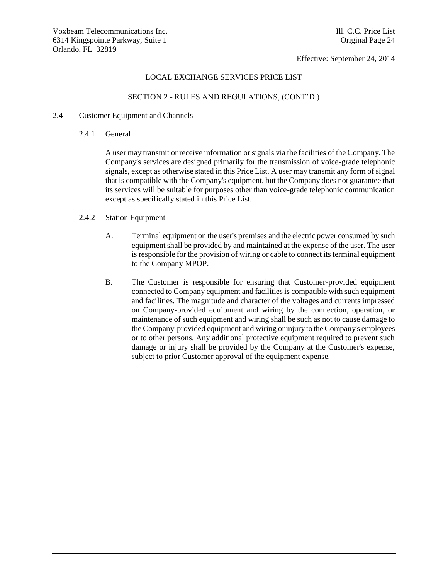### LOCAL EXCHANGE SERVICES PRICE LIST

## SECTION 2 - RULES AND REGULATIONS, (CONT'D.)

### 2.4 Customer Equipment and Channels

2.4.1 General

A user may transmit or receive information or signals via the facilities of the Company. The Company's services are designed primarily for the transmission of voice-grade telephonic signals, except as otherwise stated in this Price List. A user may transmit any form of signal that is compatible with the Company's equipment, but the Company does not guarantee that its services will be suitable for purposes other than voice-grade telephonic communication except as specifically stated in this Price List.

- 2.4.2 Station Equipment
	- A. Terminal equipment on the user's premises and the electric power consumed by such equipment shall be provided by and maintained at the expense of the user. The user is responsible for the provision of wiring or cable to connect its terminal equipment to the Company MPOP.
	- B. The Customer is responsible for ensuring that Customer-provided equipment connected to Company equipment and facilities is compatible with such equipment and facilities. The magnitude and character of the voltages and currents impressed on Company-provided equipment and wiring by the connection, operation, or maintenance of such equipment and wiring shall be such as not to cause damage to the Company-provided equipment and wiring or injury to the Company's employees or to other persons. Any additional protective equipment required to prevent such damage or injury shall be provided by the Company at the Customer's expense, subject to prior Customer approval of the equipment expense.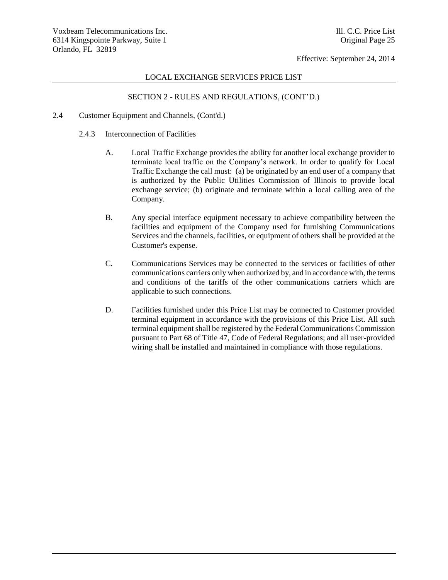### LOCAL EXCHANGE SERVICES PRICE LIST

## SECTION 2 - RULES AND REGULATIONS, (CONT'D.)

#### 2.4 Customer Equipment and Channels, (Cont'd.)

- 2.4.3 Interconnection of Facilities
	- A. Local Traffic Exchange provides the ability for another local exchange provider to terminate local traffic on the Company's network. In order to qualify for Local Traffic Exchange the call must: (a) be originated by an end user of a company that is authorized by the Public Utilities Commission of Illinois to provide local exchange service; (b) originate and terminate within a local calling area of the Company.
	- B. Any special interface equipment necessary to achieve compatibility between the facilities and equipment of the Company used for furnishing Communications Services and the channels, facilities, or equipment of others shall be provided at the Customer's expense.
	- C. Communications Services may be connected to the services or facilities of other communications carriers only when authorized by, and in accordance with, the terms and conditions of the tariffs of the other communications carriers which are applicable to such connections.
	- D. Facilities furnished under this Price List may be connected to Customer provided terminal equipment in accordance with the provisions of this Price List. All such terminal equipment shall be registered by the Federal Communications Commission pursuant to Part 68 of Title 47, Code of Federal Regulations; and all user-provided wiring shall be installed and maintained in compliance with those regulations.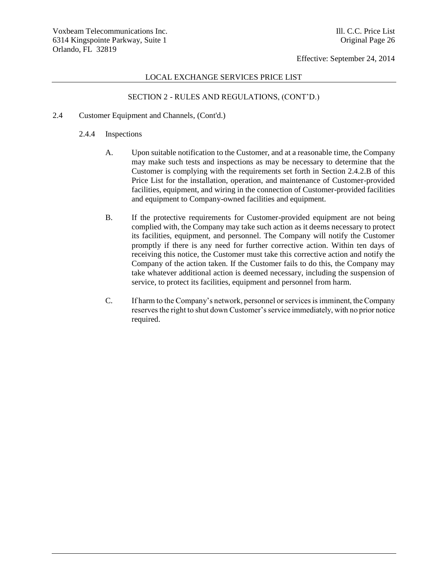### LOCAL EXCHANGE SERVICES PRICE LIST

## SECTION 2 - RULES AND REGULATIONS, (CONT'D.)

### 2.4 Customer Equipment and Channels, (Cont'd.)

### 2.4.4 Inspections

- A. Upon suitable notification to the Customer, and at a reasonable time, the Company may make such tests and inspections as may be necessary to determine that the Customer is complying with the requirements set forth in Section 2.4.2.B of this Price List for the installation, operation, and maintenance of Customer-provided facilities, equipment, and wiring in the connection of Customer-provided facilities and equipment to Company-owned facilities and equipment.
- B. If the protective requirements for Customer-provided equipment are not being complied with, the Company may take such action as it deems necessary to protect its facilities, equipment, and personnel. The Company will notify the Customer promptly if there is any need for further corrective action. Within ten days of receiving this notice, the Customer must take this corrective action and notify the Company of the action taken. If the Customer fails to do this, the Company may take whatever additional action is deemed necessary, including the suspension of service, to protect its facilities, equipment and personnel from harm.
- C. If harm to the Company's network, personnel or services is imminent, the Company reserves the right to shut down Customer's service immediately, with no prior notice required.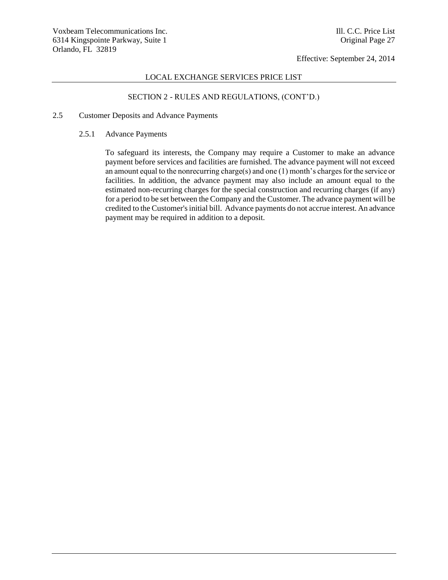## LOCAL EXCHANGE SERVICES PRICE LIST

## SECTION 2 - RULES AND REGULATIONS, (CONT'D.)

### 2.5 Customer Deposits and Advance Payments

### 2.5.1 Advance Payments

To safeguard its interests, the Company may require a Customer to make an advance payment before services and facilities are furnished. The advance payment will not exceed an amount equal to the nonrecurring charge(s) and one (1) month's charges for the service or facilities. In addition, the advance payment may also include an amount equal to the estimated non-recurring charges for the special construction and recurring charges (if any) for a period to be set between the Company and the Customer. The advance payment will be credited to the Customer's initial bill. Advance payments do not accrue interest. An advance payment may be required in addition to a deposit.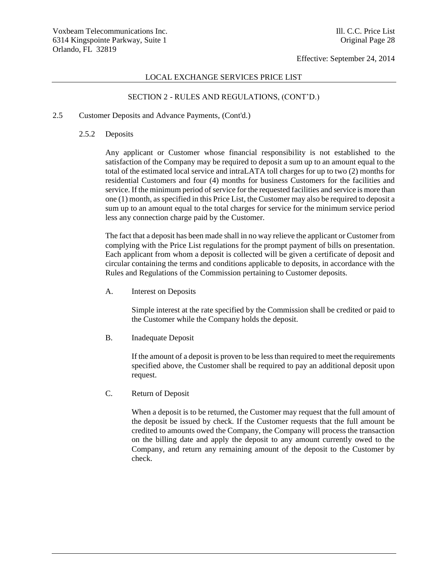### LOCAL EXCHANGE SERVICES PRICE LIST

## SECTION 2 - RULES AND REGULATIONS, (CONT'D.)

### 2.5 Customer Deposits and Advance Payments, (Cont'd.)

#### 2.5.2 Deposits

Any applicant or Customer whose financial responsibility is not established to the satisfaction of the Company may be required to deposit a sum up to an amount equal to the total of the estimated local service and intraLATA toll charges for up to two (2) months for residential Customers and four (4) months for business Customers for the facilities and service. If the minimum period of service for the requested facilities and service is more than one (1) month, as specified in this Price List, the Customer may also be required to deposit a sum up to an amount equal to the total charges for service for the minimum service period less any connection charge paid by the Customer.

The fact that a deposit has been made shall in no way relieve the applicant or Customer from complying with the Price List regulations for the prompt payment of bills on presentation. Each applicant from whom a deposit is collected will be given a certificate of deposit and circular containing the terms and conditions applicable to deposits, in accordance with the Rules and Regulations of the Commission pertaining to Customer deposits.

A. Interest on Deposits

Simple interest at the rate specified by the Commission shall be credited or paid to the Customer while the Company holds the deposit.

B. Inadequate Deposit

If the amount of a deposit is proven to be less than required to meet the requirements specified above, the Customer shall be required to pay an additional deposit upon request.

C. Return of Deposit

When a deposit is to be returned, the Customer may request that the full amount of the deposit be issued by check. If the Customer requests that the full amount be credited to amounts owed the Company, the Company will process the transaction on the billing date and apply the deposit to any amount currently owed to the Company, and return any remaining amount of the deposit to the Customer by check.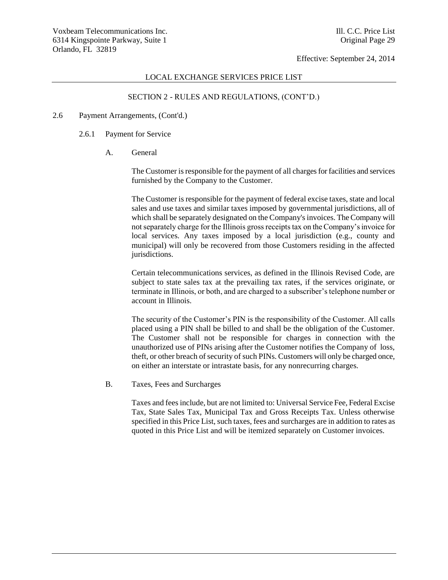### LOCAL EXCHANGE SERVICES PRICE LIST

## SECTION 2 - RULES AND REGULATIONS, (CONT'D.)

#### 2.6 Payment Arrangements, (Cont'd.)

- 2.6.1 Payment for Service
	- A. General

The Customer is responsible for the payment of all charges for facilities and services furnished by the Company to the Customer.

The Customer is responsible for the payment of federal excise taxes, state and local sales and use taxes and similar taxes imposed by governmental jurisdictions, all of which shall be separately designated on the Company's invoices. The Company will not separately charge for the Illinois gross receipts tax on the Company's invoice for local services. Any taxes imposed by a local jurisdiction (e.g., county and municipal) will only be recovered from those Customers residing in the affected jurisdictions.

Certain telecommunications services, as defined in the Illinois Revised Code, are subject to state sales tax at the prevailing tax rates, if the services originate, or terminate in Illinois, or both, and are charged to a subscriber's telephone number or account in Illinois.

The security of the Customer's PIN is the responsibility of the Customer. All calls placed using a PIN shall be billed to and shall be the obligation of the Customer. The Customer shall not be responsible for charges in connection with the unauthorized use of PINs arising after the Customer notifies the Company of loss, theft, or other breach of security of such PINs. Customers will only be charged once, on either an interstate or intrastate basis, for any nonrecurring charges.

B. Taxes, Fees and Surcharges

Taxes and fees include, but are not limited to: Universal Service Fee, Federal Excise Tax, State Sales Tax, Municipal Tax and Gross Receipts Tax. Unless otherwise specified in this Price List, such taxes, fees and surcharges are in addition to rates as quoted in this Price List and will be itemized separately on Customer invoices.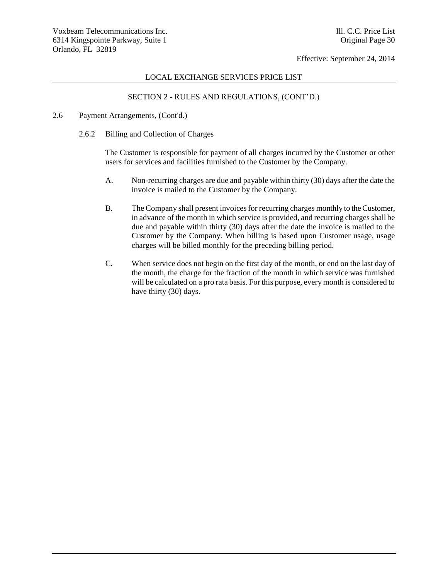## LOCAL EXCHANGE SERVICES PRICE LIST

## SECTION 2 - RULES AND REGULATIONS, (CONT'D.)

### 2.6 Payment Arrangements, (Cont'd.)

2.6.2 Billing and Collection of Charges

The Customer is responsible for payment of all charges incurred by the Customer or other users for services and facilities furnished to the Customer by the Company.

- A. Non-recurring charges are due and payable within thirty (30) days after the date the invoice is mailed to the Customer by the Company.
- B. The Company shall present invoices for recurring charges monthly to the Customer, in advance of the month in which service is provided, and recurring charges shall be due and payable within thirty (30) days after the date the invoice is mailed to the Customer by the Company. When billing is based upon Customer usage, usage charges will be billed monthly for the preceding billing period.
- C. When service does not begin on the first day of the month, or end on the last day of the month, the charge for the fraction of the month in which service was furnished will be calculated on a pro rata basis. For this purpose, every month is considered to have thirty (30) days.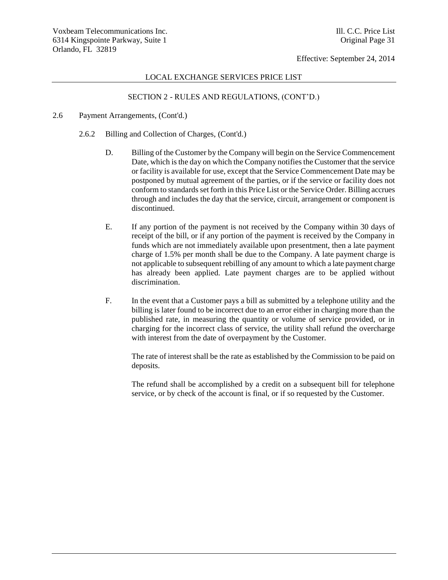### LOCAL EXCHANGE SERVICES PRICE LIST

## SECTION 2 - RULES AND REGULATIONS, (CONT'D.)

#### 2.6 Payment Arrangements, (Cont'd.)

- 2.6.2 Billing and Collection of Charges, (Cont'd.)
	- D. Billing of the Customer by the Company will begin on the Service Commencement Date, which is the day on which the Company notifies the Customer that the service or facility is available for use, except that the Service Commencement Date may be postponed by mutual agreement of the parties, or if the service or facility does not conform to standards set forth in this Price List or the Service Order. Billing accrues through and includes the day that the service, circuit, arrangement or component is discontinued.
	- E. If any portion of the payment is not received by the Company within 30 days of receipt of the bill, or if any portion of the payment is received by the Company in funds which are not immediately available upon presentment, then a late payment charge of 1.5% per month shall be due to the Company. A late payment charge is not applicable to subsequent rebilling of any amount to which a late payment charge has already been applied. Late payment charges are to be applied without discrimination.
	- F. In the event that a Customer pays a bill as submitted by a telephone utility and the billing is later found to be incorrect due to an error either in charging more than the published rate, in measuring the quantity or volume of service provided, or in charging for the incorrect class of service, the utility shall refund the overcharge with interest from the date of overpayment by the Customer.

The rate of interest shall be the rate as established by the Commission to be paid on deposits.

The refund shall be accomplished by a credit on a subsequent bill for telephone service, or by check of the account is final, or if so requested by the Customer.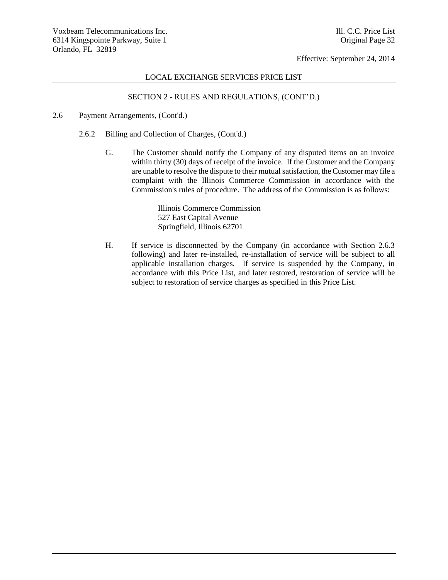### LOCAL EXCHANGE SERVICES PRICE LIST

## SECTION 2 - RULES AND REGULATIONS, (CONT'D.)

- 2.6 Payment Arrangements, (Cont'd.)
	- 2.6.2 Billing and Collection of Charges, (Cont'd.)
		- G. The Customer should notify the Company of any disputed items on an invoice within thirty (30) days of receipt of the invoice. If the Customer and the Company are unable to resolve the dispute to their mutual satisfaction, the Customer may file a complaint with the Illinois Commerce Commission in accordance with the Commission's rules of procedure. The address of the Commission is as follows:

Illinois Commerce Commission 527 East Capital Avenue Springfield, Illinois 62701

H. If service is disconnected by the Company (in accordance with Section 2.6.3 following) and later re-installed, re-installation of service will be subject to all applicable installation charges. If service is suspended by the Company, in accordance with this Price List, and later restored, restoration of service will be subject to restoration of service charges as specified in this Price List.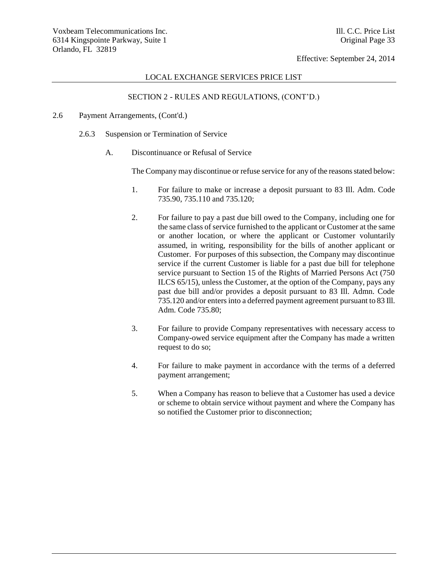#### LOCAL EXCHANGE SERVICES PRICE LIST

## SECTION 2 - RULES AND REGULATIONS, (CONT'D.)

### 2.6 Payment Arrangements, (Cont'd.)

- 2.6.3 Suspension or Termination of Service
	- A. Discontinuance or Refusal of Service

The Company may discontinue or refuse service for any of the reasons stated below:

- 1. For failure to make or increase a deposit pursuant to 83 Ill. Adm. Code 735.90, 735.110 and 735.120;
- 2. For failure to pay a past due bill owed to the Company, including one for the same class of service furnished to the applicant or Customer at the same or another location, or where the applicant or Customer voluntarily assumed, in writing, responsibility for the bills of another applicant or Customer. For purposes of this subsection, the Company may discontinue service if the current Customer is liable for a past due bill for telephone service pursuant to Section 15 of the Rights of Married Persons Act (750 ILCS 65/15), unless the Customer, at the option of the Company, pays any past due bill and/or provides a deposit pursuant to 83 Ill. Admn. Code 735.120 and/or enters into a deferred payment agreement pursuant to 83 Ill. Adm. Code 735.80;
- 3. For failure to provide Company representatives with necessary access to Company-owed service equipment after the Company has made a written request to do so;
- 4. For failure to make payment in accordance with the terms of a deferred payment arrangement;
- 5. When a Company has reason to believe that a Customer has used a device or scheme to obtain service without payment and where the Company has so notified the Customer prior to disconnection;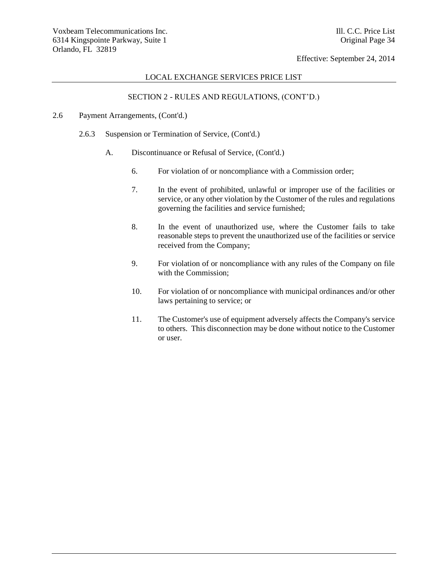## LOCAL EXCHANGE SERVICES PRICE LIST

## SECTION 2 - RULES AND REGULATIONS, (CONT'D.)

### 2.6 Payment Arrangements, (Cont'd.)

- 2.6.3 Suspension or Termination of Service, (Cont'd.)
	- A. Discontinuance or Refusal of Service, (Cont'd.)
		- 6. For violation of or noncompliance with a Commission order;
		- 7. In the event of prohibited, unlawful or improper use of the facilities or service, or any other violation by the Customer of the rules and regulations governing the facilities and service furnished;
		- 8. In the event of unauthorized use, where the Customer fails to take reasonable steps to prevent the unauthorized use of the facilities or service received from the Company;
		- 9. For violation of or noncompliance with any rules of the Company on file with the Commission;
		- 10. For violation of or noncompliance with municipal ordinances and/or other laws pertaining to service; or
		- 11. The Customer's use of equipment adversely affects the Company's service to others. This disconnection may be done without notice to the Customer or user.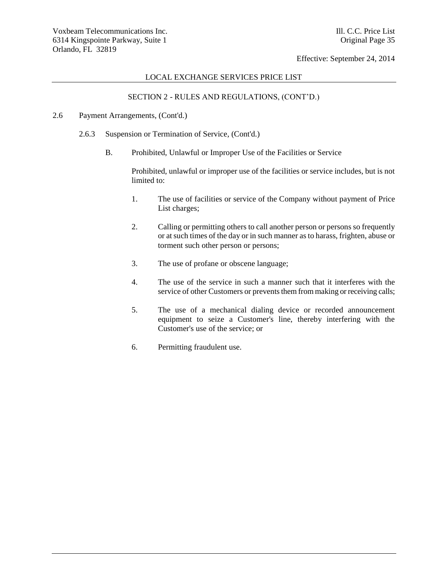## LOCAL EXCHANGE SERVICES PRICE LIST

## SECTION 2 - RULES AND REGULATIONS, (CONT'D.)

### 2.6 Payment Arrangements, (Cont'd.)

- 2.6.3 Suspension or Termination of Service, (Cont'd.)
	- B. Prohibited, Unlawful or Improper Use of the Facilities or Service

Prohibited, unlawful or improper use of the facilities or service includes, but is not limited to:

- 1. The use of facilities or service of the Company without payment of Price List charges;
- 2. Calling or permitting others to call another person or persons so frequently or at such times of the day or in such manner as to harass, frighten, abuse or torment such other person or persons;
- 3. The use of profane or obscene language;
- 4. The use of the service in such a manner such that it interferes with the service of other Customers or prevents them from making or receiving calls;
- 5. The use of a mechanical dialing device or recorded announcement equipment to seize a Customer's line, thereby interfering with the Customer's use of the service; or
- 6. Permitting fraudulent use.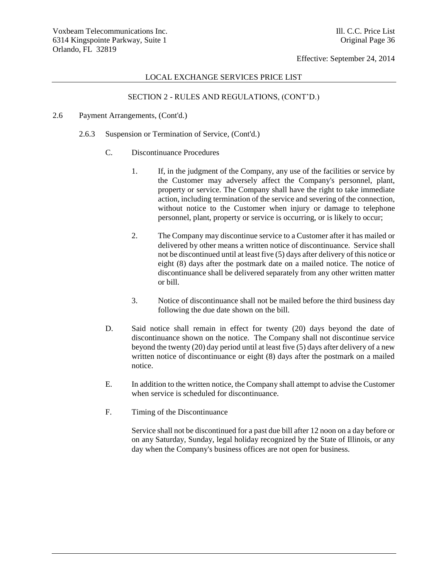#### LOCAL EXCHANGE SERVICES PRICE LIST

# SECTION 2 - RULES AND REGULATIONS, (CONT'D.)

#### 2.6 Payment Arrangements, (Cont'd.)

- 2.6.3 Suspension or Termination of Service, (Cont'd.)
	- C. Discontinuance Procedures
		- 1. If, in the judgment of the Company, any use of the facilities or service by the Customer may adversely affect the Company's personnel, plant, property or service. The Company shall have the right to take immediate action, including termination of the service and severing of the connection, without notice to the Customer when injury or damage to telephone personnel, plant, property or service is occurring, or is likely to occur;
		- 2. The Company may discontinue service to a Customer after it has mailed or delivered by other means a written notice of discontinuance. Service shall not be discontinued until at least five (5) days after delivery of this notice or eight (8) days after the postmark date on a mailed notice. The notice of discontinuance shall be delivered separately from any other written matter or bill.
		- 3. Notice of discontinuance shall not be mailed before the third business day following the due date shown on the bill.
	- D. Said notice shall remain in effect for twenty (20) days beyond the date of discontinuance shown on the notice. The Company shall not discontinue service beyond the twenty (20) day period until at least five (5) days after delivery of a new written notice of discontinuance or eight (8) days after the postmark on a mailed notice.
	- E. In addition to the written notice, the Company shall attempt to advise the Customer when service is scheduled for discontinuance.
	- F. Timing of the Discontinuance

Service shall not be discontinued for a past due bill after 12 noon on a day before or on any Saturday, Sunday, legal holiday recognized by the State of Illinois, or any day when the Company's business offices are not open for business.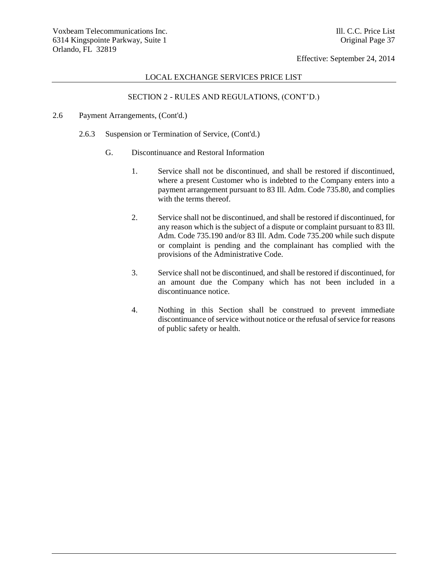## LOCAL EXCHANGE SERVICES PRICE LIST

# SECTION 2 - RULES AND REGULATIONS, (CONT'D.)

#### 2.6 Payment Arrangements, (Cont'd.)

- 2.6.3 Suspension or Termination of Service, (Cont'd.)
	- G. Discontinuance and Restoral Information
		- 1. Service shall not be discontinued, and shall be restored if discontinued, where a present Customer who is indebted to the Company enters into a payment arrangement pursuant to 83 Ill. Adm. Code 735.80, and complies with the terms thereof.
		- 2. Service shall not be discontinued, and shall be restored if discontinued, for any reason which is the subject of a dispute or complaint pursuant to 83 Ill. Adm. Code 735.190 and/or 83 Ill. Adm. Code 735.200 while such dispute or complaint is pending and the complainant has complied with the provisions of the Administrative Code.
		- 3. Service shall not be discontinued, and shall be restored if discontinued, for an amount due the Company which has not been included in a discontinuance notice.
		- 4. Nothing in this Section shall be construed to prevent immediate discontinuance of service without notice or the refusal of service for reasons of public safety or health.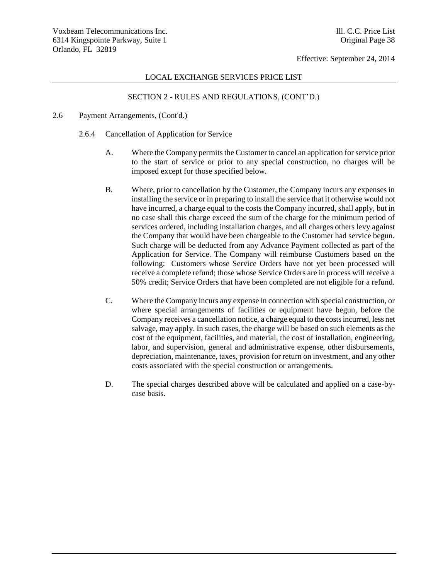#### LOCAL EXCHANGE SERVICES PRICE LIST

# SECTION 2 - RULES AND REGULATIONS, (CONT'D.)

- 2.6 Payment Arrangements, (Cont'd.)
	- 2.6.4 Cancellation of Application for Service
		- A. Where the Company permits the Customer to cancel an application for service prior to the start of service or prior to any special construction, no charges will be imposed except for those specified below.
		- B. Where, prior to cancellation by the Customer, the Company incurs any expenses in installing the service or in preparing to install the service that it otherwise would not have incurred, a charge equal to the costs the Company incurred, shall apply, but in no case shall this charge exceed the sum of the charge for the minimum period of services ordered, including installation charges, and all charges others levy against the Company that would have been chargeable to the Customer had service begun. Such charge will be deducted from any Advance Payment collected as part of the Application for Service. The Company will reimburse Customers based on the following: Customers whose Service Orders have not yet been processed will receive a complete refund; those whose Service Orders are in process will receive a 50% credit; Service Orders that have been completed are not eligible for a refund.
		- C. Where the Company incurs any expense in connection with special construction, or where special arrangements of facilities or equipment have begun, before the Company receives a cancellation notice, a charge equal to the costs incurred, less net salvage, may apply. In such cases, the charge will be based on such elements as the cost of the equipment, facilities, and material, the cost of installation, engineering, labor, and supervision, general and administrative expense, other disbursements, depreciation, maintenance, taxes, provision for return on investment, and any other costs associated with the special construction or arrangements.
		- D. The special charges described above will be calculated and applied on a case-bycase basis.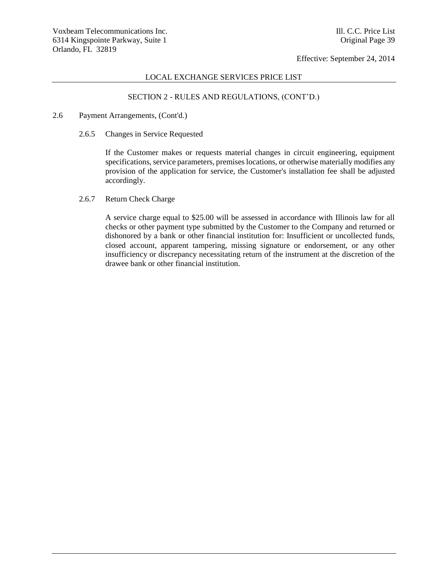## LOCAL EXCHANGE SERVICES PRICE LIST

# SECTION 2 - RULES AND REGULATIONS, (CONT'D.)

#### 2.6 Payment Arrangements, (Cont'd.)

2.6.5 Changes in Service Requested

If the Customer makes or requests material changes in circuit engineering, equipment specifications, service parameters, premises locations, or otherwise materially modifies any provision of the application for service, the Customer's installation fee shall be adjusted accordingly.

2.6.7 Return Check Charge

A service charge equal to \$25.00 will be assessed in accordance with Illinois law for all checks or other payment type submitted by the Customer to the Company and returned or dishonored by a bank or other financial institution for: Insufficient or uncollected funds, closed account, apparent tampering, missing signature or endorsement, or any other insufficiency or discrepancy necessitating return of the instrument at the discretion of the drawee bank or other financial institution.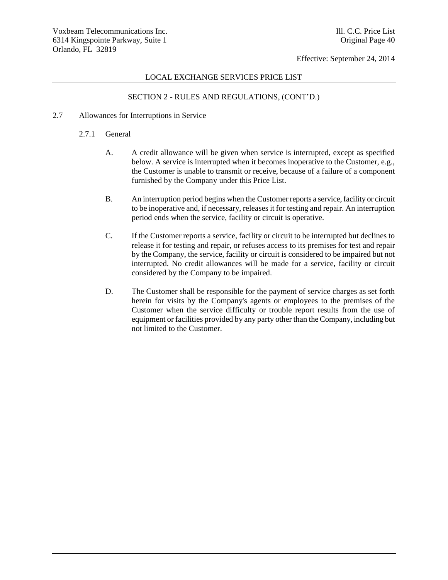### LOCAL EXCHANGE SERVICES PRICE LIST

# SECTION 2 - RULES AND REGULATIONS, (CONT'D.)

### 2.7 Allowances for Interruptions in Service

- 2.7.1 General
	- A. A credit allowance will be given when service is interrupted, except as specified below. A service is interrupted when it becomes inoperative to the Customer, e.g., the Customer is unable to transmit or receive, because of a failure of a component furnished by the Company under this Price List.
	- B. An interruption period begins when the Customer reports a service, facility or circuit to be inoperative and, if necessary, releases it for testing and repair. An interruption period ends when the service, facility or circuit is operative.
	- C. If the Customer reports a service, facility or circuit to be interrupted but declines to release it for testing and repair, or refuses access to its premises for test and repair by the Company, the service, facility or circuit is considered to be impaired but not interrupted. No credit allowances will be made for a service, facility or circuit considered by the Company to be impaired.
	- D. The Customer shall be responsible for the payment of service charges as set forth herein for visits by the Company's agents or employees to the premises of the Customer when the service difficulty or trouble report results from the use of equipment or facilities provided by any party other than the Company, including but not limited to the Customer.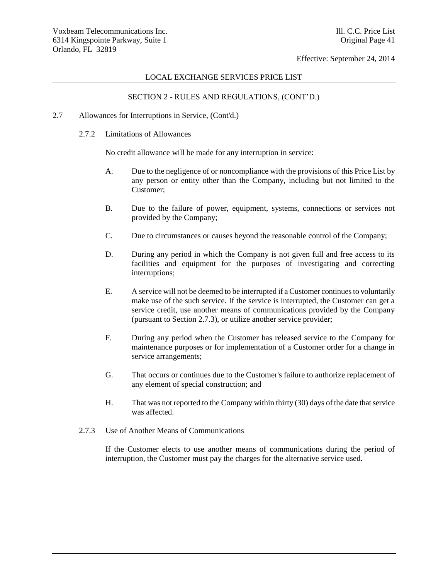#### LOCAL EXCHANGE SERVICES PRICE LIST

# SECTION 2 - RULES AND REGULATIONS, (CONT'D.)

- 2.7 Allowances for Interruptions in Service, (Cont'd.)
	- 2.7.2 Limitations of Allowances

No credit allowance will be made for any interruption in service:

- A. Due to the negligence of or noncompliance with the provisions of this Price List by any person or entity other than the Company, including but not limited to the Customer;
- B. Due to the failure of power, equipment, systems, connections or services not provided by the Company;
- C. Due to circumstances or causes beyond the reasonable control of the Company;
- D. During any period in which the Company is not given full and free access to its facilities and equipment for the purposes of investigating and correcting interruptions;
- E. A service will not be deemed to be interrupted if a Customer continues to voluntarily make use of the such service. If the service is interrupted, the Customer can get a service credit, use another means of communications provided by the Company (pursuant to Section 2.7.3), or utilize another service provider;
- F. During any period when the Customer has released service to the Company for maintenance purposes or for implementation of a Customer order for a change in service arrangements;
- G. That occurs or continues due to the Customer's failure to authorize replacement of any element of special construction; and
- H. That was not reported to the Company within thirty (30) days of the date that service was affected.
- 2.7.3 Use of Another Means of Communications

If the Customer elects to use another means of communications during the period of interruption, the Customer must pay the charges for the alternative service used.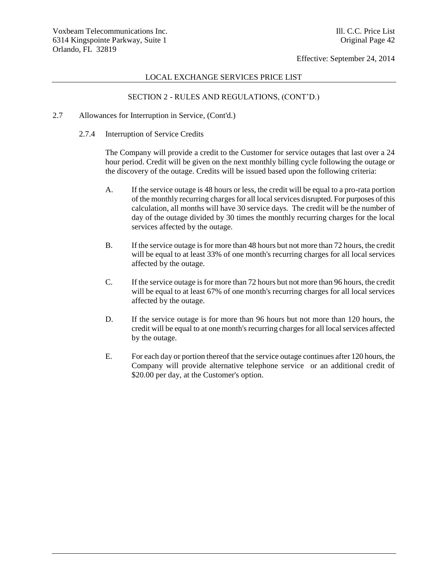### LOCAL EXCHANGE SERVICES PRICE LIST

# SECTION 2 - RULES AND REGULATIONS, (CONT'D.)

### 2.7 Allowances for Interruption in Service, (Cont'd.)

2.7.4 Interruption of Service Credits

The Company will provide a credit to the Customer for service outages that last over a 24 hour period. Credit will be given on the next monthly billing cycle following the outage or the discovery of the outage. Credits will be issued based upon the following criteria:

- A. If the service outage is 48 hours or less, the credit will be equal to a pro-rata portion of the monthly recurring charges for all local services disrupted. For purposes of this calculation, all months will have 30 service days. The credit will be the number of day of the outage divided by 30 times the monthly recurring charges for the local services affected by the outage.
- B. If the service outage is for more than 48 hours but not more than 72 hours, the credit will be equal to at least 33% of one month's recurring charges for all local services affected by the outage.
- C. If the service outage is for more than 72 hours but not more than 96 hours, the credit will be equal to at least 67% of one month's recurring charges for all local services affected by the outage.
- D. If the service outage is for more than 96 hours but not more than 120 hours, the credit will be equal to at one month's recurring charges for all local services affected by the outage.
- E. For each day or portion thereof that the service outage continues after 120 hours, the Company will provide alternative telephone service or an additional credit of \$20.00 per day, at the Customer's option.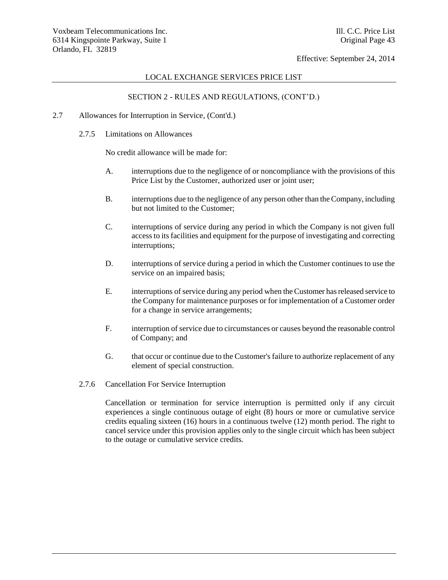### LOCAL EXCHANGE SERVICES PRICE LIST

# SECTION 2 - RULES AND REGULATIONS, (CONT'D.)

- 2.7 Allowances for Interruption in Service, (Cont'd.)
	- 2.7.5 Limitations on Allowances

No credit allowance will be made for:

- A. interruptions due to the negligence of or noncompliance with the provisions of this Price List by the Customer, authorized user or joint user;
- B. interruptions due to the negligence of any person other than the Company, including but not limited to the Customer;
- C. interruptions of service during any period in which the Company is not given full access to its facilities and equipment for the purpose of investigating and correcting interruptions;
- D. interruptions of service during a period in which the Customer continues to use the service on an impaired basis;
- E. interruptions of service during any period when the Customer has released service to the Company for maintenance purposes or for implementation of a Customer order for a change in service arrangements;
- F. interruption of service due to circumstances or causes beyond the reasonable control of Company; and
- G. that occur or continue due to the Customer's failure to authorize replacement of any element of special construction.
- 2.7.6 Cancellation For Service Interruption

Cancellation or termination for service interruption is permitted only if any circuit experiences a single continuous outage of eight (8) hours or more or cumulative service credits equaling sixteen (16) hours in a continuous twelve (12) month period. The right to cancel service under this provision applies only to the single circuit which has been subject to the outage or cumulative service credits.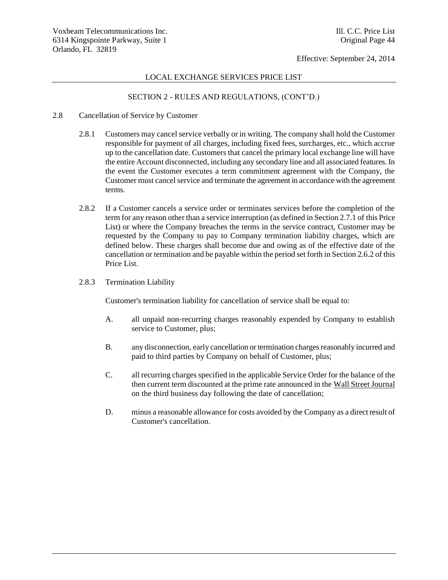### LOCAL EXCHANGE SERVICES PRICE LIST

## SECTION 2 - RULES AND REGULATIONS, (CONT'D.)

- 2.8 Cancellation of Service by Customer
	- 2.8.1 Customers may cancel service verbally or in writing. The company shall hold the Customer responsible for payment of all charges, including fixed fees, surcharges, etc., which accrue up to the cancellation date. Customers that cancel the primary local exchange line will have the entire Account disconnected, including any secondary line and all associated features. In the event the Customer executes a term commitment agreement with the Company, the Customer must cancel service and terminate the agreement in accordance with the agreement terms.
	- 2.8.2 If a Customer cancels a service order or terminates services before the completion of the term for any reason other than a service interruption (as defined in Section 2.7.1 of this Price List) or where the Company breaches the terms in the service contract, Customer may be requested by the Company to pay to Company termination liability charges, which are defined below. These charges shall become due and owing as of the effective date of the cancellation or termination and be payable within the period set forth in Section 2.6.2 of this Price List.
	- 2.8.3 Termination Liability

Customer's termination liability for cancellation of service shall be equal to:

- A. all unpaid non-recurring charges reasonably expended by Company to establish service to Customer, plus;
- B. any disconnection, early cancellation or termination charges reasonably incurred and paid to third parties by Company on behalf of Customer, plus;
- C. all recurring charges specified in the applicable Service Order for the balance of the then current term discounted at the prime rate announced in the Wall Street Journal on the third business day following the date of cancellation;
- D. minus a reasonable allowance for costs avoided by the Company as a direct result of Customer's cancellation.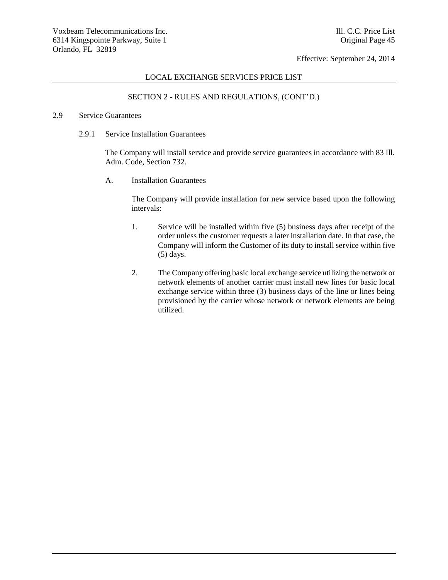## LOCAL EXCHANGE SERVICES PRICE LIST

# SECTION 2 - RULES AND REGULATIONS, (CONT'D.)

#### 2.9 Service Guarantees

2.9.1 Service Installation Guarantees

The Company will install service and provide service guarantees in accordance with 83 Ill. Adm. Code, Section 732.

A. Installation Guarantees

The Company will provide installation for new service based upon the following intervals:

- 1. Service will be installed within five (5) business days after receipt of the order unless the customer requests a later installation date. In that case, the Company will inform the Customer of its duty to install service within five (5) days.
- 2. The Company offering basic local exchange service utilizing the network or network elements of another carrier must install new lines for basic local exchange service within three (3) business days of the line or lines being provisioned by the carrier whose network or network elements are being utilized.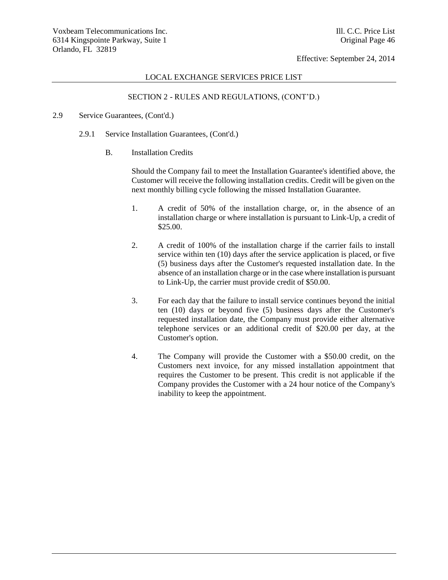#### LOCAL EXCHANGE SERVICES PRICE LIST

# SECTION 2 - RULES AND REGULATIONS, (CONT'D.)

### 2.9 Service Guarantees, (Cont'd.)

- 2.9.1 Service Installation Guarantees, (Cont'd.)
	- B. Installation Credits

Should the Company fail to meet the Installation Guarantee's identified above, the Customer will receive the following installation credits. Credit will be given on the next monthly billing cycle following the missed Installation Guarantee.

- 1. A credit of 50% of the installation charge, or, in the absence of an installation charge or where installation is pursuant to Link-Up, a credit of \$25.00.
- 2. A credit of 100% of the installation charge if the carrier fails to install service within ten (10) days after the service application is placed, or five (5) business days after the Customer's requested installation date. In the absence of an installation charge or in the case where installation is pursuant to Link-Up, the carrier must provide credit of \$50.00.
- 3. For each day that the failure to install service continues beyond the initial ten (10) days or beyond five (5) business days after the Customer's requested installation date, the Company must provide either alternative telephone services or an additional credit of \$20.00 per day, at the Customer's option.
- 4. The Company will provide the Customer with a \$50.00 credit, on the Customers next invoice, for any missed installation appointment that requires the Customer to be present. This credit is not applicable if the Company provides the Customer with a 24 hour notice of the Company's inability to keep the appointment.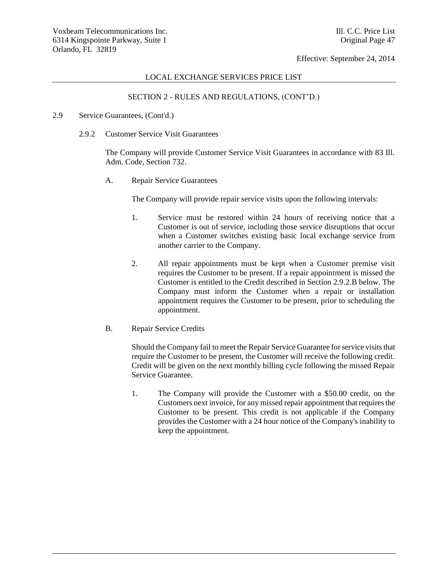#### LOCAL EXCHANGE SERVICES PRICE LIST

# SECTION 2 - RULES AND REGULATIONS, (CONT'D.)

#### 2.9 Service Guarantees, (Cont'd.)

2.9.2 Customer Service Visit Guarantees

The Company will provide Customer Service Visit Guarantees in accordance with 83 Ill. Adm. Code, Section 732.

A. Repair Service Guarantees

The Company will provide repair service visits upon the following intervals:

- 1. Service must be restored within 24 hours of receiving notice that a Customer is out of service, including those service disruptions that occur when a Customer switches existing basic local exchange service from another carrier to the Company.
- 2. All repair appointments must be kept when a Customer premise visit requires the Customer to be present. If a repair appointment is missed the Customer is entitled to the Credit described in Section 2.9.2.B below. The Company must inform the Customer when a repair or installation appointment requires the Customer to be present, prior to scheduling the appointment.
- B. Repair Service Credits

Should the Company fail to meet the Repair Service Guarantee for service visits that require the Customer to be present, the Customer will receive the following credit. Credit will be given on the next monthly billing cycle following the missed Repair Service Guarantee.

1. The Company will provide the Customer with a \$50.00 credit, on the Customers next invoice, for any missed repair appointment that requires the Customer to be present. This credit is not applicable if the Company provides the Customer with a 24 hour notice of the Company's inability to keep the appointment.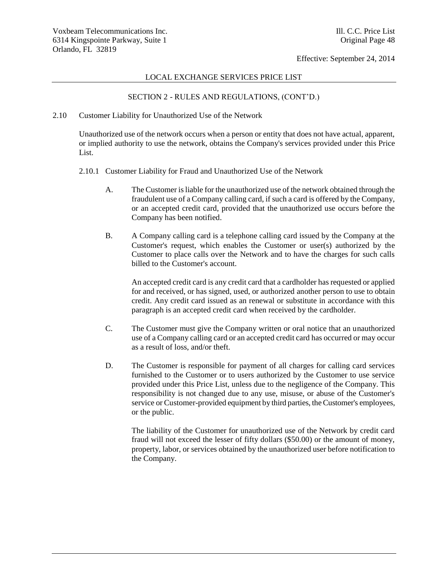## LOCAL EXCHANGE SERVICES PRICE LIST

# SECTION 2 - RULES AND REGULATIONS, (CONT'D.)

#### 2.10 Customer Liability for Unauthorized Use of the Network

Unauthorized use of the network occurs when a person or entity that does not have actual, apparent, or implied authority to use the network, obtains the Company's services provided under this Price List.

- 2.10.1 Customer Liability for Fraud and Unauthorized Use of the Network
	- A. The Customer is liable for the unauthorized use of the network obtained through the fraudulent use of a Company calling card, if such a card is offered by the Company, or an accepted credit card, provided that the unauthorized use occurs before the Company has been notified.
	- B. A Company calling card is a telephone calling card issued by the Company at the Customer's request, which enables the Customer or user(s) authorized by the Customer to place calls over the Network and to have the charges for such calls billed to the Customer's account.

An accepted credit card is any credit card that a cardholder has requested or applied for and received, or has signed, used, or authorized another person to use to obtain credit. Any credit card issued as an renewal or substitute in accordance with this paragraph is an accepted credit card when received by the cardholder.

- C. The Customer must give the Company written or oral notice that an unauthorized use of a Company calling card or an accepted credit card has occurred or may occur as a result of loss, and/or theft.
- D. The Customer is responsible for payment of all charges for calling card services furnished to the Customer or to users authorized by the Customer to use service provided under this Price List, unless due to the negligence of the Company. This responsibility is not changed due to any use, misuse, or abuse of the Customer's service or Customer-provided equipment by third parties, the Customer's employees, or the public.

The liability of the Customer for unauthorized use of the Network by credit card fraud will not exceed the lesser of fifty dollars (\$50.00) or the amount of money, property, labor, or services obtained by the unauthorized user before notification to the Company.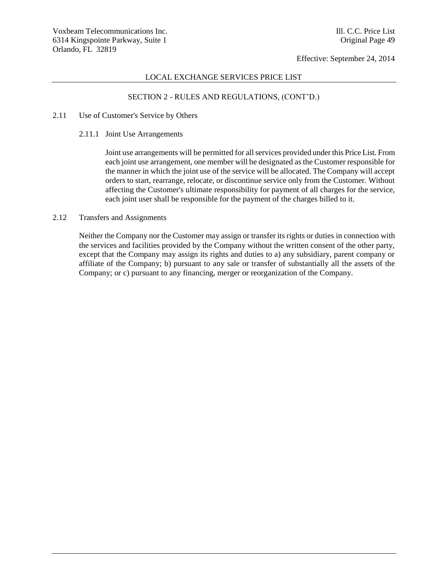## LOCAL EXCHANGE SERVICES PRICE LIST

# SECTION 2 - RULES AND REGULATIONS, (CONT'D.)

# 2.11 Use of Customer's Service by Others

2.11.1 Joint Use Arrangements

Joint use arrangements will be permitted for all services provided under this Price List. From each joint use arrangement, one member will be designated as the Customer responsible for the manner in which the joint use of the service will be allocated. The Company will accept orders to start, rearrange, relocate, or discontinue service only from the Customer. Without affecting the Customer's ultimate responsibility for payment of all charges for the service, each joint user shall be responsible for the payment of the charges billed to it.

## 2.12 Transfers and Assignments

Neither the Company nor the Customer may assign or transfer its rights or duties in connection with the services and facilities provided by the Company without the written consent of the other party, except that the Company may assign its rights and duties to a) any subsidiary, parent company or affiliate of the Company; b) pursuant to any sale or transfer of substantially all the assets of the Company; or c) pursuant to any financing, merger or reorganization of the Company.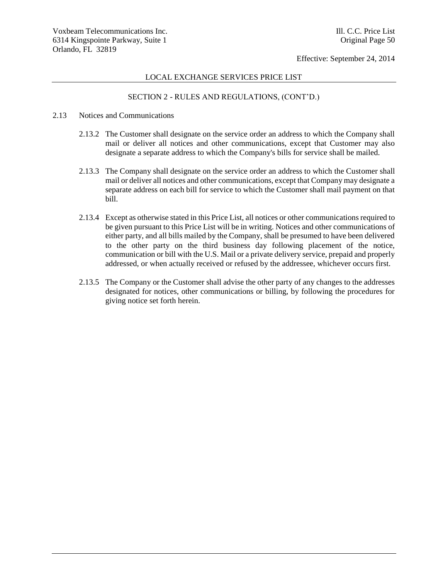### LOCAL EXCHANGE SERVICES PRICE LIST

# SECTION 2 - RULES AND REGULATIONS, (CONT'D.)

### 2.13 Notices and Communications

- 2.13.2 The Customer shall designate on the service order an address to which the Company shall mail or deliver all notices and other communications, except that Customer may also designate a separate address to which the Company's bills for service shall be mailed.
- 2.13.3 The Company shall designate on the service order an address to which the Customer shall mail or deliver all notices and other communications, except that Company may designate a separate address on each bill for service to which the Customer shall mail payment on that bill.
- 2.13.4 Except as otherwise stated in this Price List, all notices or other communications required to be given pursuant to this Price List will be in writing. Notices and other communications of either party, and all bills mailed by the Company, shall be presumed to have been delivered to the other party on the third business day following placement of the notice, communication or bill with the U.S. Mail or a private delivery service, prepaid and properly addressed, or when actually received or refused by the addressee, whichever occurs first.
- 2.13.5 The Company or the Customer shall advise the other party of any changes to the addresses designated for notices, other communications or billing, by following the procedures for giving notice set forth herein.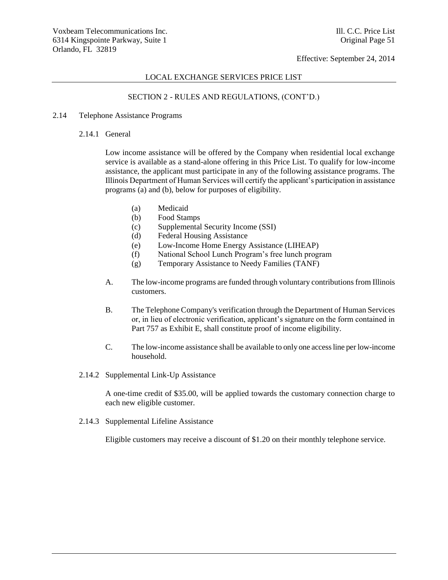#### LOCAL EXCHANGE SERVICES PRICE LIST

# SECTION 2 - RULES AND REGULATIONS, (CONT'D.)

### 2.14 Telephone Assistance Programs

### 2.14.1 General

Low income assistance will be offered by the Company when residential local exchange service is available as a stand-alone offering in this Price List. To qualify for low-income assistance, the applicant must participate in any of the following assistance programs. The Illinois Department of Human Services will certify the applicant's participation in assistance programs (a) and (b), below for purposes of eligibility.

- (a) Medicaid
- (b) Food Stamps
- (c) Supplemental Security Income (SSI)
- (d) Federal Housing Assistance
- (e) Low-Income Home Energy Assistance (LIHEAP)
- (f) National School Lunch Program's free lunch program
- (g) Temporary Assistance to Needy Families (TANF)
- A. The low-income programs are funded through voluntary contributions from Illinois customers.
- B. The Telephone Company's verification through the Department of Human Services or, in lieu of electronic verification, applicant's signature on the form contained in Part 757 as Exhibit E, shall constitute proof of income eligibility.
- C. The low-income assistance shall be available to only one access line per low-income household.
- 2.14.2 Supplemental Link-Up Assistance

A one-time credit of \$35.00, will be applied towards the customary connection charge to each new eligible customer.

2.14.3 Supplemental Lifeline Assistance

Eligible customers may receive a discount of \$1.20 on their monthly telephone service.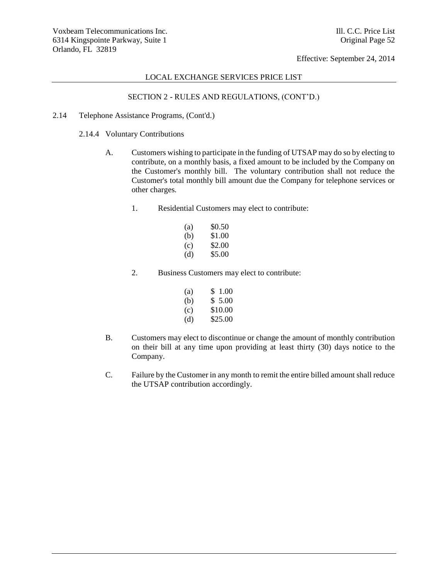## LOCAL EXCHANGE SERVICES PRICE LIST

# SECTION 2 - RULES AND REGULATIONS, (CONT'D.)

- 2.14 Telephone Assistance Programs, (Cont'd.)
	- 2.14.4 Voluntary Contributions
		- A. Customers wishing to participate in the funding of UTSAP may do so by electing to contribute, on a monthly basis, a fixed amount to be included by the Company on the Customer's monthly bill. The voluntary contribution shall not reduce the Customer's total monthly bill amount due the Company for telephone services or other charges.
			- 1. Residential Customers may elect to contribute:

| (a) | \$0.50 |
|-----|--------|
| (b) | \$1.00 |
| (c) | \$2.00 |
| (d) | \$5.00 |

2. Business Customers may elect to contribute:

| (a) | \$1.00  |
|-----|---------|
| (b) | \$ 5.00 |
| (c) | \$10.00 |
| (d) | \$25.00 |

- B. Customers may elect to discontinue or change the amount of monthly contribution on their bill at any time upon providing at least thirty (30) days notice to the Company.
- C. Failure by the Customer in any month to remit the entire billed amount shall reduce the UTSAP contribution accordingly.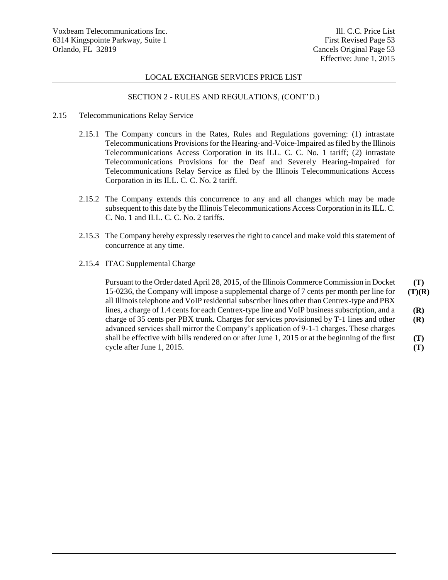### LOCAL EXCHANGE SERVICES PRICE LIST

## SECTION 2 - RULES AND REGULATIONS, (CONT'D.)

- 2.15 Telecommunications Relay Service
	- 2.15.1 The Company concurs in the Rates, Rules and Regulations governing: (1) intrastate Telecommunications Provisions for the Hearing-and-Voice-Impaired as filed by the Illinois Telecommunications Access Corporation in its ILL. C. C. No. 1 tariff; (2) intrastate Telecommunications Provisions for the Deaf and Severely Hearing-Impaired for Telecommunications Relay Service as filed by the Illinois Telecommunications Access Corporation in its ILL. C. C. No. 2 tariff.
	- 2.15.2 The Company extends this concurrence to any and all changes which may be made subsequent to this date by the Illinois Telecommunications Access Corporation in its ILL. C. C. No. 1 and ILL. C. C. No. 2 tariffs.
	- 2.15.3 The Company hereby expressly reserves the right to cancel and make void this statement of concurrence at any time.
	- 2.15.4 ITAC Supplemental Charge

Pursuant to the Order dated April 28, 2015, of the Illinois Commerce Commission in Docket 15-0236, the Company will impose a supplemental charge of 7 cents per month per line for all Illinois telephone and VoIP residential subscriber lines other than Centrex-type and PBX lines, a charge of 1.4 cents for each Centrex-type line and VoIP business subscription, and a charge of 35 cents per PBX trunk. Charges for services provisioned by T-1 lines and other advanced services shall mirror the Company's application of 9-1-1 charges. These charges shall be effective with bills rendered on or after June 1, 2015 or at the beginning of the first cycle after June 1, 2015. **(T) (T)(R) (R) (R) (T) (T)**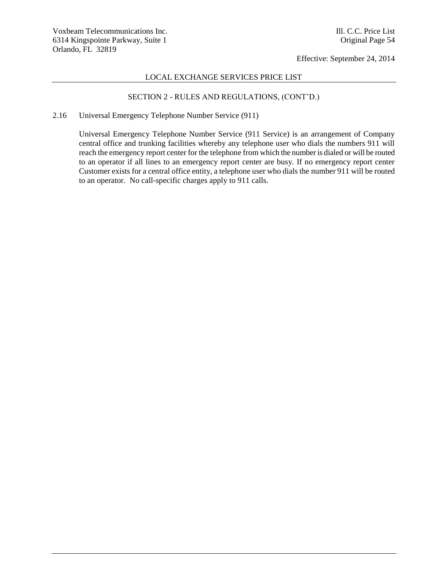## LOCAL EXCHANGE SERVICES PRICE LIST

# SECTION 2 - RULES AND REGULATIONS, (CONT'D.)

## 2.16 Universal Emergency Telephone Number Service (911)

Universal Emergency Telephone Number Service (911 Service) is an arrangement of Company central office and trunking facilities whereby any telephone user who dials the numbers 911 will reach the emergency report center for the telephone from which the number is dialed or will be routed to an operator if all lines to an emergency report center are busy. If no emergency report center Customer exists for a central office entity, a telephone user who dials the number 911 will be routed to an operator. No call-specific charges apply to 911 calls.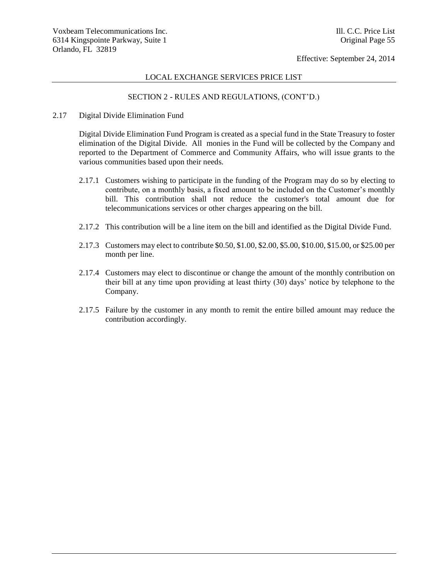## LOCAL EXCHANGE SERVICES PRICE LIST

# SECTION 2 - RULES AND REGULATIONS, (CONT'D.)

#### 2.17 Digital Divide Elimination Fund

Digital Divide Elimination Fund Program is created as a special fund in the State Treasury to foster elimination of the Digital Divide. All monies in the Fund will be collected by the Company and reported to the Department of Commerce and Community Affairs, who will issue grants to the various communities based upon their needs.

- 2.17.1 Customers wishing to participate in the funding of the Program may do so by electing to contribute, on a monthly basis, a fixed amount to be included on the Customer's monthly bill. This contribution shall not reduce the customer's total amount due for telecommunications services or other charges appearing on the bill.
- 2.17.2 This contribution will be a line item on the bill and identified as the Digital Divide Fund.
- 2.17.3 Customers may elect to contribute \$0.50, \$1.00, \$2.00, \$5.00, \$10.00, \$15.00, or \$25.00 per month per line.
- 2.17.4 Customers may elect to discontinue or change the amount of the monthly contribution on their bill at any time upon providing at least thirty (30) days' notice by telephone to the Company.
- 2.17.5 Failure by the customer in any month to remit the entire billed amount may reduce the contribution accordingly.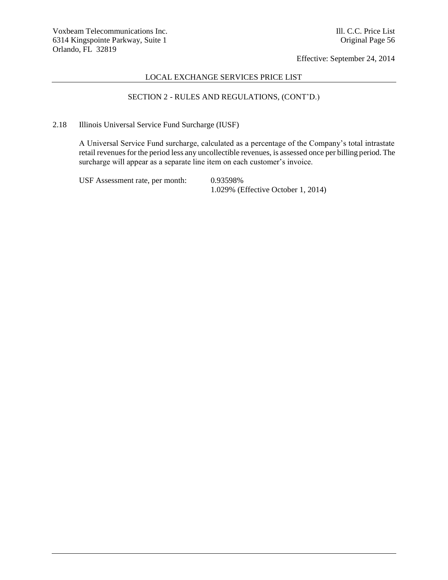## LOCAL EXCHANGE SERVICES PRICE LIST

# SECTION 2 - RULES AND REGULATIONS, (CONT'D.)

2.18 Illinois Universal Service Fund Surcharge (IUSF)

A Universal Service Fund surcharge, calculated as a percentage of the Company's total intrastate retail revenues for the period less any uncollectible revenues, is assessed once per billing period. The surcharge will appear as a separate line item on each customer's invoice.

USF Assessment rate, per month: 0.93598%

1.029% (Effective October 1, 2014)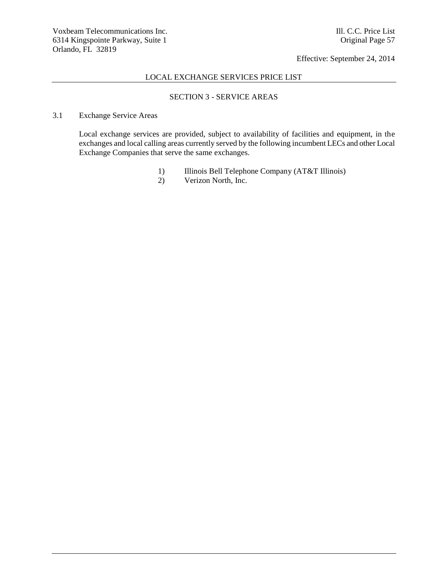## LOCAL EXCHANGE SERVICES PRICE LIST

# SECTION 3 - SERVICE AREAS

# 3.1 Exchange Service Areas

Local exchange services are provided, subject to availability of facilities and equipment, in the exchanges and local calling areas currently served by the following incumbent LECs and other Local Exchange Companies that serve the same exchanges.

- 1) Illinois Bell Telephone Company (AT&T Illinois)
- 2) Verizon North, Inc.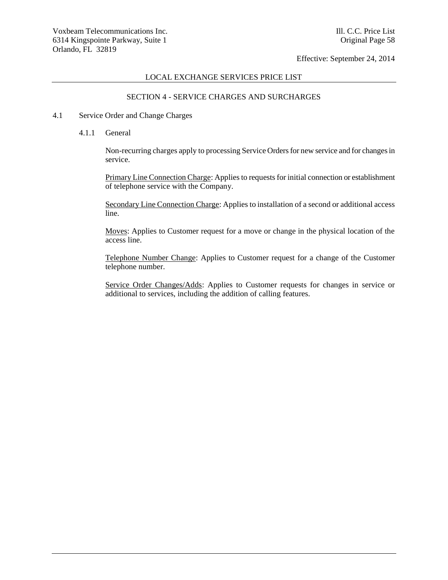#### LOCAL EXCHANGE SERVICES PRICE LIST

## SECTION 4 - SERVICE CHARGES AND SURCHARGES

#### 4.1 Service Order and Change Charges

4.1.1 General

Non-recurring charges apply to processing Service Orders for new service and for changes in service.

Primary Line Connection Charge: Applies to requests for initial connection or establishment of telephone service with the Company.

Secondary Line Connection Charge: Applies to installation of a second or additional access line.

Moves: Applies to Customer request for a move or change in the physical location of the access line.

Telephone Number Change: Applies to Customer request for a change of the Customer telephone number.

Service Order Changes/Adds: Applies to Customer requests for changes in service or additional to services, including the addition of calling features.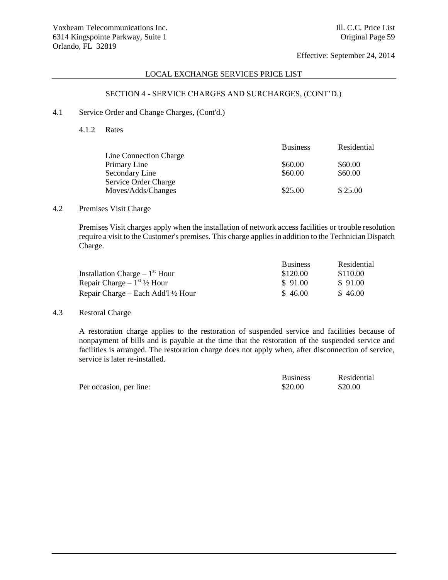# LOCAL EXCHANGE SERVICES PRICE LIST

# SECTION 4 - SERVICE CHARGES AND SURCHARGES, (CONT'D.)

#### 4.1 Service Order and Change Charges, (Cont'd.)

4.1.2 Rates

|                        | <b>Business</b> | Residential |
|------------------------|-----------------|-------------|
| Line Connection Charge |                 |             |
| Primary Line           | \$60.00         | \$60.00     |
| Secondary Line         | \$60.00         | \$60.00     |
| Service Order Charge   |                 |             |
| Moves/Adds/Changes     | \$25.00         | \$25.00     |
|                        |                 |             |

### 4.2 Premises Visit Charge

Premises Visit charges apply when the installation of network access facilities or trouble resolution require a visit to the Customer's premises. This charge applies in addition to the Technician Dispatch Charge.

|                                               | <b>Business</b> | Residential |
|-----------------------------------------------|-----------------|-------------|
| Installation Charge $-1st$ Hour               | \$120.00        | \$110.00    |
| Repair Charge $-1^{st}$ 1/2 Hour              | \$91.00         | \$91.00     |
| Repair Charge – Each Add'l $\frac{1}{2}$ Hour | \$46.00         | \$46.00     |

## 4.3 Restoral Charge

A restoration charge applies to the restoration of suspended service and facilities because of nonpayment of bills and is payable at the time that the restoration of the suspended service and facilities is arranged. The restoration charge does not apply when, after disconnection of service, service is later re-installed.

|                         | <b>Business</b> | Residential |
|-------------------------|-----------------|-------------|
| Per occasion, per line: | \$20.00         | \$20.00     |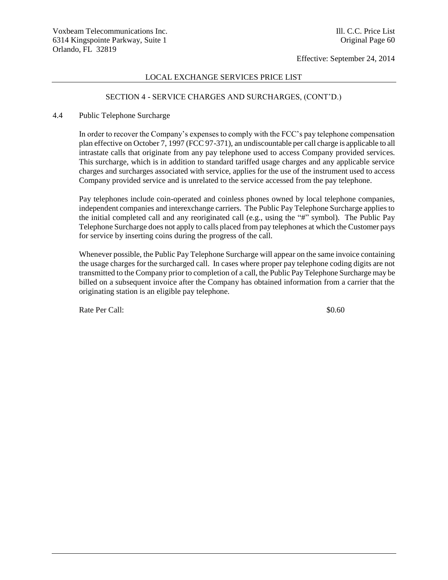### LOCAL EXCHANGE SERVICES PRICE LIST

## SECTION 4 - SERVICE CHARGES AND SURCHARGES, (CONT'D.)

#### 4.4 Public Telephone Surcharge

In order to recover the Company's expenses to comply with the FCC's pay telephone compensation plan effective on October 7, 1997 (FCC 97-371), an undiscountable per call charge is applicable to all intrastate calls that originate from any pay telephone used to access Company provided services. This surcharge, which is in addition to standard tariffed usage charges and any applicable service charges and surcharges associated with service, applies for the use of the instrument used to access Company provided service and is unrelated to the service accessed from the pay telephone.

Pay telephones include coin-operated and coinless phones owned by local telephone companies, independent companies and interexchange carriers. The Public Pay Telephone Surcharge applies to the initial completed call and any reoriginated call (e.g., using the "#" symbol). The Public Pay Telephone Surcharge does not apply to calls placed from pay telephones at which the Customer pays for service by inserting coins during the progress of the call.

Whenever possible, the Public Pay Telephone Surcharge will appear on the same invoice containing the usage charges for the surcharged call. In cases where proper pay telephone coding digits are not transmitted to the Company prior to completion of a call, the Public Pay Telephone Surcharge may be billed on a subsequent invoice after the Company has obtained information from a carrier that the originating station is an eligible pay telephone.

Rate Per Call:  $\$0.60$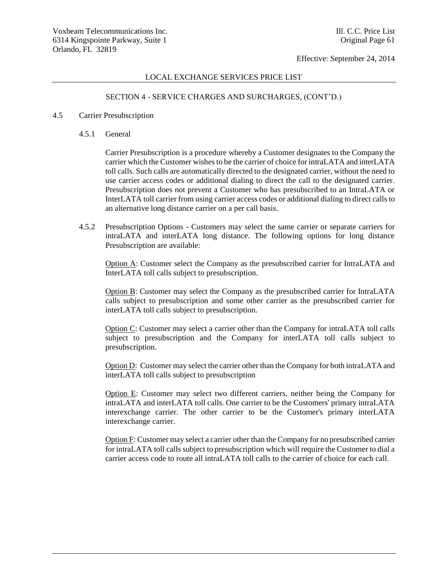#### LOCAL EXCHANGE SERVICES PRICE LIST

# SECTION 4 - SERVICE CHARGES AND SURCHARGES, (CONT'D.)

#### 4.5 Carrier Presubscription

4.5.1 General

Carrier Presubscription is a procedure whereby a Customer designates to the Company the carrier which the Customer wishes to be the carrier of choice for intraLATA and interLATA toll calls. Such calls are automatically directed to the designated carrier, without the need to use carrier access codes or additional dialing to direct the call to the designated carrier. Presubscription does not prevent a Customer who has presubscribed to an IntraLATA or InterLATA toll carrier from using carrier access codes or additional dialing to direct calls to an alternative long distance carrier on a per call basis.

4.5.2 Presubscription Options - Customers may select the same carrier or separate carriers for intraLATA and interLATA long distance. The following options for long distance Presubscription are available:

Option A: Customer select the Company as the presubscribed carrier for IntraLATA and InterLATA toll calls subject to presubscription.

Option B: Customer may select the Company as the presubscribed carrier for IntraLATA calls subject to presubscription and some other carrier as the presubscribed carrier for interLATA toll calls subject to presubscription.

Option C: Customer may select a carrier other than the Company for intraLATA toll calls subject to presubscription and the Company for interLATA toll calls subject to presubscription.

Option D: Customer may select the carrier other than the Company for both intraLATA and interLATA toll calls subject to presubscription

Option E: Customer may select two different carriers, neither being the Company for intraLATA and interLATA toll calls. One carrier to be the Customers' primary intraLATA interexchange carrier. The other carrier to be the Customer's primary interLATA interexchange carrier.

Option F: Customer may select a carrier other than the Company for no presubscribed carrier for intraLATA toll calls subject to presubscription which will require the Customer to dial a carrier access code to route all intraLATA toll calls to the carrier of choice for each call.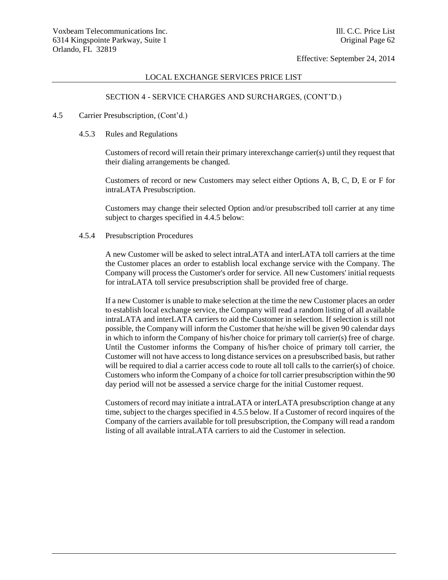#### LOCAL EXCHANGE SERVICES PRICE LIST

# SECTION 4 - SERVICE CHARGES AND SURCHARGES, (CONT'D.)

#### 4.5 Carrier Presubscription, (Cont'd.)

4.5.3 Rules and Regulations

Customers of record will retain their primary interexchange carrier(s) until they request that their dialing arrangements be changed.

Customers of record or new Customers may select either Options A, B, C, D, E or F for intraLATA Presubscription.

Customers may change their selected Option and/or presubscribed toll carrier at any time subject to charges specified in 4.4.5 below:

#### 4.5.4 Presubscription Procedures

A new Customer will be asked to select intraLATA and interLATA toll carriers at the time the Customer places an order to establish local exchange service with the Company. The Company will process the Customer's order for service. All new Customers' initial requests for intraLATA toll service presubscription shall be provided free of charge.

If a new Customer is unable to make selection at the time the new Customer places an order to establish local exchange service, the Company will read a random listing of all available intraLATA and interLATA carriers to aid the Customer in selection. If selection is still not possible, the Company will inform the Customer that he/she will be given 90 calendar days in which to inform the Company of his/her choice for primary toll carrier(s) free of charge. Until the Customer informs the Company of his/her choice of primary toll carrier, the Customer will not have access to long distance services on a presubscribed basis, but rather will be required to dial a carrier access code to route all toll calls to the carrier(s) of choice. Customers who inform the Company of a choice for toll carrier presubscription within the 90 day period will not be assessed a service charge for the initial Customer request.

Customers of record may initiate a intraLATA or interLATA presubscription change at any time, subject to the charges specified in 4.5.5 below. If a Customer of record inquires of the Company of the carriers available for toll presubscription, the Company will read a random listing of all available intraLATA carriers to aid the Customer in selection.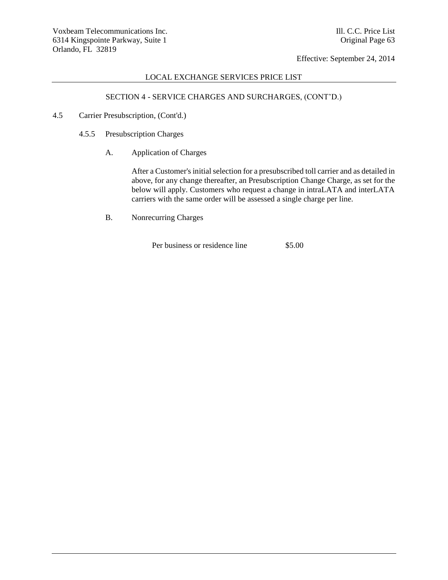# LOCAL EXCHANGE SERVICES PRICE LIST

# SECTION 4 - SERVICE CHARGES AND SURCHARGES, (CONT'D.)

- 4.5 Carrier Presubscription, (Cont'd.)
	- 4.5.5 Presubscription Charges
		- A. Application of Charges

After a Customer's initial selection for a presubscribed toll carrier and as detailed in above, for any change thereafter, an Presubscription Change Charge, as set for the below will apply. Customers who request a change in intraLATA and interLATA carriers with the same order will be assessed a single charge per line.

B. Nonrecurring Charges

Per business or residence line \$5.00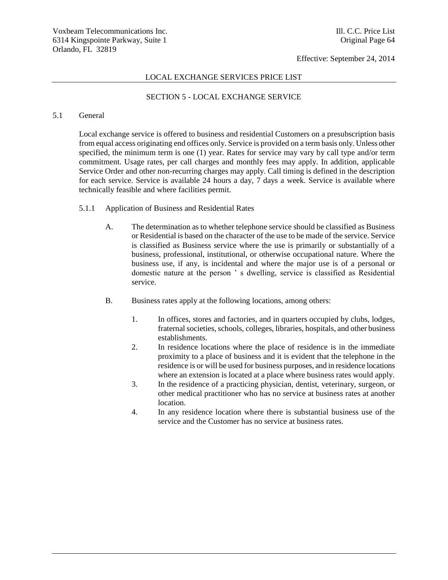### LOCAL EXCHANGE SERVICES PRICE LIST

## SECTION 5 - LOCAL EXCHANGE SERVICE

## 5.1 General

Local exchange service is offered to business and residential Customers on a presubscription basis from equal access originating end offices only. Service is provided on a term basis only. Unless other specified, the minimum term is one (1) year. Rates for service may vary by call type and/or term commitment. Usage rates, per call charges and monthly fees may apply. In addition, applicable Service Order and other non-recurring charges may apply. Call timing is defined in the description for each service. Service is available 24 hours a day, 7 days a week. Service is available where technically feasible and where facilities permit.

- 5.1.1 Application of Business and Residential Rates
	- A. The determination as to whether telephone service should be classified as Business or Residential is based on the character of the use to be made of the service. Service is classified as Business service where the use is primarily or substantially of a business, professional, institutional, or otherwise occupational nature. Where the business use, if any, is incidental and where the major use is of a personal or domestic nature at the person ' s dwelling, service is classified as Residential service.
	- B. Business rates apply at the following locations, among others:
		- 1. In offices, stores and factories, and in quarters occupied by clubs, lodges, fraternal societies, schools, colleges, libraries, hospitals, and other business establishments.
		- 2. In residence locations where the place of residence is in the immediate proximity to a place of business and it is evident that the telephone in the residence is or will be used for business purposes, and in residence locations where an extension is located at a place where business rates would apply.
		- 3. In the residence of a practicing physician, dentist, veterinary, surgeon, or other medical practitioner who has no service at business rates at another location.
		- 4. In any residence location where there is substantial business use of the service and the Customer has no service at business rates.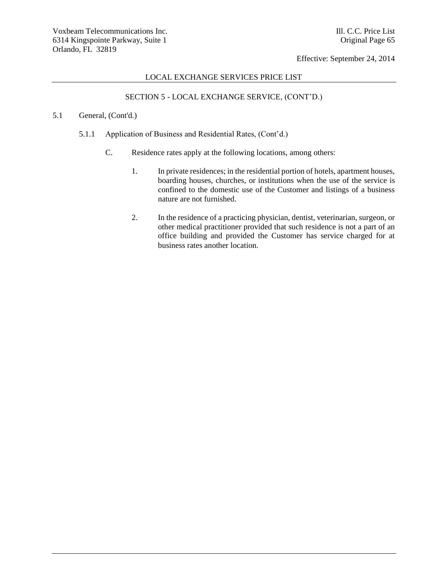## LOCAL EXCHANGE SERVICES PRICE LIST

# SECTION 5 - LOCAL EXCHANGE SERVICE, (CONT'D.)

## 5.1 General, (Cont'd.)

- 5.1.1 Application of Business and Residential Rates, (Cont'd.)
	- C. Residence rates apply at the following locations, among others:
		- 1. In private residences; in the residential portion of hotels, apartment houses, boarding houses, churches, or institutions when the use of the service is confined to the domestic use of the Customer and listings of a business nature are not furnished.
		- 2. In the residence of a practicing physician, dentist, veterinarian, surgeon, or other medical practitioner provided that such residence is not a part of an office building and provided the Customer has service charged for at business rates another location.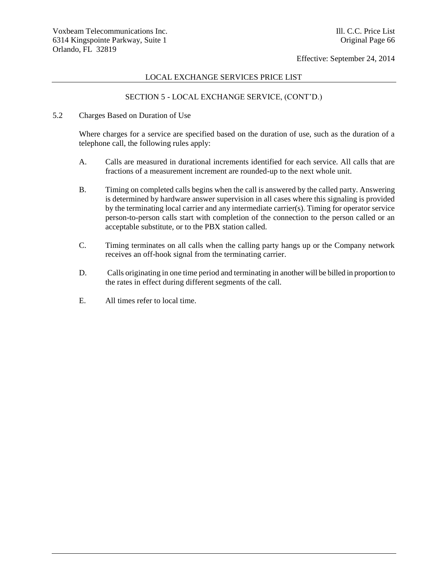# LOCAL EXCHANGE SERVICES PRICE LIST

# SECTION 5 - LOCAL EXCHANGE SERVICE, (CONT'D.)

5.2 Charges Based on Duration of Use

Where charges for a service are specified based on the duration of use, such as the duration of a telephone call, the following rules apply:

- A. Calls are measured in durational increments identified for each service. All calls that are fractions of a measurement increment are rounded-up to the next whole unit.
- B. Timing on completed calls begins when the call is answered by the called party. Answering is determined by hardware answer supervision in all cases where this signaling is provided by the terminating local carrier and any intermediate carrier(s). Timing for operator service person-to-person calls start with completion of the connection to the person called or an acceptable substitute, or to the PBX station called.
- C. Timing terminates on all calls when the calling party hangs up or the Company network receives an off-hook signal from the terminating carrier.
- D. Calls originating in one time period and terminating in another will be billed in proportion to the rates in effect during different segments of the call.
- E. All times refer to local time.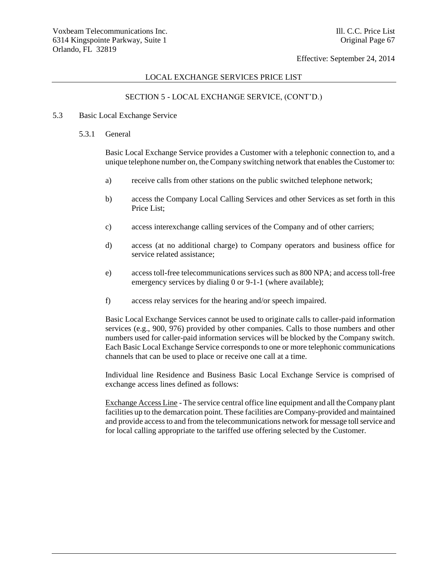#### LOCAL EXCHANGE SERVICES PRICE LIST

# SECTION 5 - LOCAL EXCHANGE SERVICE, (CONT'D.)

#### 5.3 Basic Local Exchange Service

5.3.1 General

Basic Local Exchange Service provides a Customer with a telephonic connection to, and a unique telephone number on, the Company switching network that enables the Customer to:

- a) receive calls from other stations on the public switched telephone network;
- b) access the Company Local Calling Services and other Services as set forth in this Price List;
- c) access interexchange calling services of the Company and of other carriers;
- d) access (at no additional charge) to Company operators and business office for service related assistance;
- e) access toll-free telecommunications services such as 800 NPA; and access toll-free emergency services by dialing 0 or 9-1-1 (where available);
- f) access relay services for the hearing and/or speech impaired.

Basic Local Exchange Services cannot be used to originate calls to caller-paid information services (e.g., 900, 976) provided by other companies. Calls to those numbers and other numbers used for caller-paid information services will be blocked by the Company switch. Each Basic Local Exchange Service corresponds to one or more telephonic communications channels that can be used to place or receive one call at a time.

Individual line Residence and Business Basic Local Exchange Service is comprised of exchange access lines defined as follows:

Exchange Access Line - The service central office line equipment and all the Company plant facilities up to the demarcation point. These facilities are Company-provided and maintained and provide access to and from the telecommunications network for message toll service and for local calling appropriate to the tariffed use offering selected by the Customer.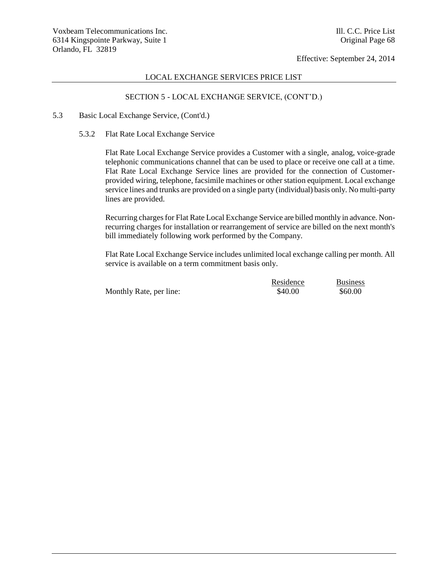## LOCAL EXCHANGE SERVICES PRICE LIST

# SECTION 5 - LOCAL EXCHANGE SERVICE, (CONT'D.)

# 5.3 Basic Local Exchange Service, (Cont'd.)

#### 5.3.2 Flat Rate Local Exchange Service

Flat Rate Local Exchange Service provides a Customer with a single, analog, voice-grade telephonic communications channel that can be used to place or receive one call at a time. Flat Rate Local Exchange Service lines are provided for the connection of Customerprovided wiring, telephone, facsimile machines or other station equipment. Local exchange service lines and trunks are provided on a single party (individual) basis only. No multi-party lines are provided.

Recurring charges for Flat Rate Local Exchange Service are billed monthly in advance. Nonrecurring charges for installation or rearrangement of service are billed on the next month's bill immediately following work performed by the Company.

Flat Rate Local Exchange Service includes unlimited local exchange calling per month. All service is available on a term commitment basis only.

|                         | Residence | <b>Business</b> |
|-------------------------|-----------|-----------------|
| Monthly Rate, per line: | \$40.00   | \$60.00         |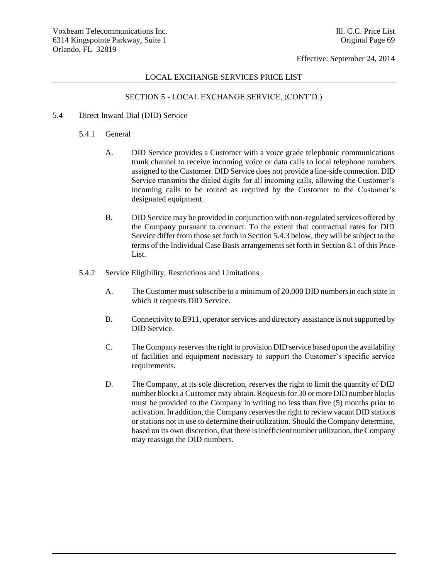## LOCAL EXCHANGE SERVICES PRICE LIST

# SECTION 5 - LOCAL EXCHANGE SERVICE, (CONT'D.)

- 5.4 Direct Inward Dial (DID) Service
	- 5.4.1 General
		- A. DID Service provides a Customer with a voice grade telephonic communications trunk channel to receive incoming voice or data calls to local telephone numbers assigned to the Customer. DID Service does not provide a line-side connection. DID Service transmits the dialed digits for all incoming calls, allowing the Customer's incoming calls to be routed as required by the Customer to the Customer's designated equipment.
		- B. DID Service may be provided in conjunction with non-regulated services offered by the Company pursuant to contract. To the extent that contractual rates for DID Service differ from those set forth in Section 5.4.3 below, they will be subject to the terms of the Individual Case Basis arrangements set forth in Section 8.1 of this Price List.
	- 5.4.2 Service Eligibility, Restrictions and Limitations
		- A. The Customer must subscribe to a minimum of 20,000 DID numbers in each state in which it requests DID Service.
		- B. Connectivity to E911, operator services and directory assistance is not supported by DID Service.
		- C. The Company reserves the right to provision DID service based upon the availability of facilities and equipment necessary to support the Customer's specific service requirements.
		- D. The Company, at its sole discretion, reserves the right to limit the quantity of DID number blocks a Customer may obtain. Requests for 30 or more DID number blocks must be provided to the Company in writing no less than five (5) months prior to activation. In addition, the Company reserves the right to review vacant DID stations or stations not in use to determine their utilization. Should the Company determine, based on its own discretion, that there is inefficient number utilization, the Company may reassign the DID numbers.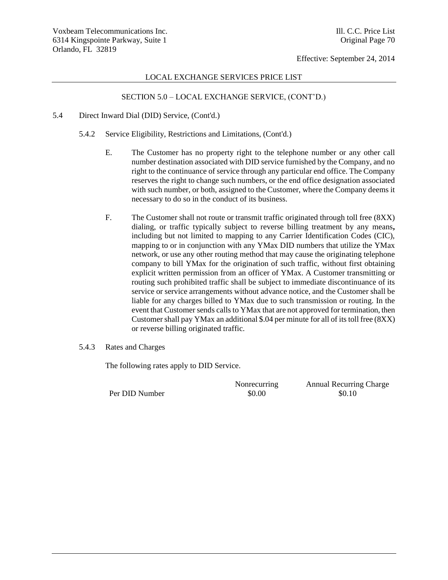### LOCAL EXCHANGE SERVICES PRICE LIST

# SECTION 5.0 – LOCAL EXCHANGE SERVICE, (CONT'D.)

- 5.4 Direct Inward Dial (DID) Service, (Cont'd.)
	- 5.4.2 Service Eligibility, Restrictions and Limitations, (Cont'd.)
		- E. The Customer has no property right to the telephone number or any other call number destination associated with DID service furnished by the Company, and no right to the continuance of service through any particular end office. The Company reserves the right to change such numbers, or the end office designation associated with such number, or both, assigned to the Customer, where the Company deems it necessary to do so in the conduct of its business.
		- F. The Customer shall not route or transmit traffic originated through toll free (8XX) dialing, or traffic typically subject to reverse billing treatment by any means**,**  including but not limited to mapping to any Carrier Identification Codes (CIC), mapping to or in conjunction with any YMax DID numbers that utilize the YMax network, or use any other routing method that may cause the originating telephone company to bill YMax for the origination of such traffic, without first obtaining explicit written permission from an officer of YMax. A Customer transmitting or routing such prohibited traffic shall be subject to immediate discontinuance of its service or service arrangements without advance notice, and the Customer shall be liable for any charges billed to YMax due to such transmission or routing. In the event that Customer sends calls to YMax that are not approved for termination, then Customer shall pay YMax an additional \$.04 per minute for all of its toll free (8XX) or reverse billing originated traffic.
	- 5.4.3 Rates and Charges

The following rates apply to DID Service.

Per DID Number  $$0.00$  \$0.10

Nonrecurring Annual Recurring Charge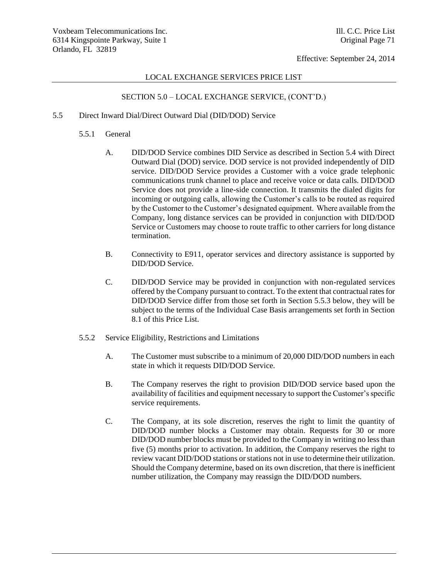### LOCAL EXCHANGE SERVICES PRICE LIST

# SECTION 5.0 – LOCAL EXCHANGE SERVICE, (CONT'D.)

## 5.5 Direct Inward Dial/Direct Outward Dial (DID/DOD) Service

- 5.5.1 General
	- A. DID/DOD Service combines DID Service as described in Section 5.4 with Direct Outward Dial (DOD) service. DOD service is not provided independently of DID service. DID/DOD Service provides a Customer with a voice grade telephonic communications trunk channel to place and receive voice or data calls. DID/DOD Service does not provide a line-side connection. It transmits the dialed digits for incoming or outgoing calls, allowing the Customer's calls to be routed as required by the Customer to the Customer's designated equipment. Where available from the Company, long distance services can be provided in conjunction with DID/DOD Service or Customers may choose to route traffic to other carriers for long distance termination.
	- B. Connectivity to E911, operator services and directory assistance is supported by DID/DOD Service.
	- C. DID/DOD Service may be provided in conjunction with non-regulated services offered by the Company pursuant to contract. To the extent that contractual rates for DID/DOD Service differ from those set forth in Section 5.5.3 below, they will be subject to the terms of the Individual Case Basis arrangements set forth in Section 8.1 of this Price List.
- 5.5.2 Service Eligibility, Restrictions and Limitations
	- A. The Customer must subscribe to a minimum of 20,000 DID/DOD numbers in each state in which it requests DID/DOD Service.
	- B. The Company reserves the right to provision DID/DOD service based upon the availability of facilities and equipment necessary to support the Customer's specific service requirements.
	- C. The Company, at its sole discretion, reserves the right to limit the quantity of DID/DOD number blocks a Customer may obtain. Requests for 30 or more DID/DOD number blocks must be provided to the Company in writing no less than five (5) months prior to activation. In addition, the Company reserves the right to review vacant DID/DOD stations or stations not in use to determine their utilization. Should the Company determine, based on its own discretion, that there is inefficient number utilization, the Company may reassign the DID/DOD numbers.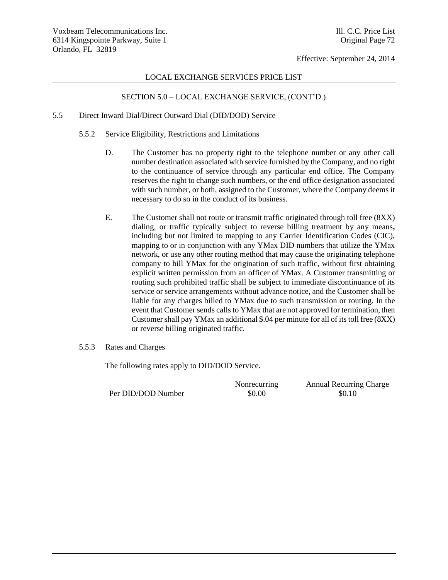#### LOCAL EXCHANGE SERVICES PRICE LIST

## SECTION 5.0 – LOCAL EXCHANGE SERVICE, (CONT'D.)

### 5.5 Direct Inward Dial/Direct Outward Dial (DID/DOD) Service

- 5.5.2 Service Eligibility, Restrictions and Limitations
	- D. The Customer has no property right to the telephone number or any other call number destination associated with service furnished by the Company, and no right to the continuance of service through any particular end office. The Company reserves the right to change such numbers, or the end office designation associated with such number, or both, assigned to the Customer, where the Company deems it necessary to do so in the conduct of its business.
	- E. The Customer shall not route or transmit traffic originated through toll free (8XX) dialing, or traffic typically subject to reverse billing treatment by any means**,**  including but not limited to mapping to any Carrier Identification Codes (CIC), mapping to or in conjunction with any YMax DID numbers that utilize the YMax network, or use any other routing method that may cause the originating telephone company to bill YMax for the origination of such traffic, without first obtaining explicit written permission from an officer of YMax. A Customer transmitting or routing such prohibited traffic shall be subject to immediate discontinuance of its service or service arrangements without advance notice, and the Customer shall be liable for any charges billed to YMax due to such transmission or routing. In the event that Customer sends calls to YMax that are not approved for termination, then Customer shall pay YMax an additional \$.04 per minute for all of its toll free (8XX) or reverse billing originated traffic.

#### 5.5.3 Rates and Charges

The following rates apply to DID/DOD Service.

Per DID/DOD Number  $$0.00$  \$0.10

Nonrecurring Annual Recurring Charge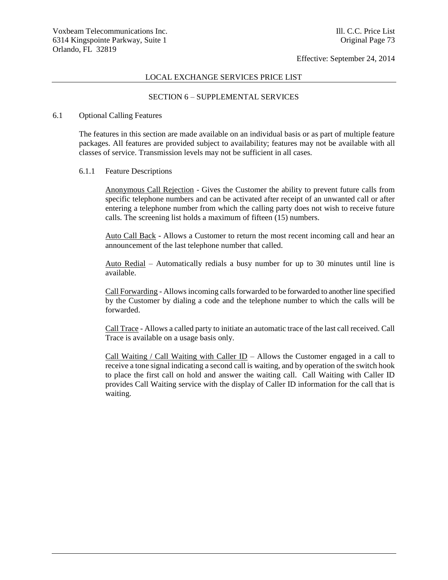#### LOCAL EXCHANGE SERVICES PRICE LIST

#### SECTION 6 – SUPPLEMENTAL SERVICES

#### 6.1 Optional Calling Features

The features in this section are made available on an individual basis or as part of multiple feature packages. All features are provided subject to availability; features may not be available with all classes of service. Transmission levels may not be sufficient in all cases.

#### 6.1.1 Feature Descriptions

Anonymous Call Rejection - Gives the Customer the ability to prevent future calls from specific telephone numbers and can be activated after receipt of an unwanted call or after entering a telephone number from which the calling party does not wish to receive future calls. The screening list holds a maximum of fifteen (15) numbers.

Auto Call Back - Allows a Customer to return the most recent incoming call and hear an announcement of the last telephone number that called.

Auto Redial – Automatically redials a busy number for up to 30 minutes until line is available.

Call Forwarding - Allows incoming calls forwarded to be forwarded to another line specified by the Customer by dialing a code and the telephone number to which the calls will be forwarded.

Call Trace - Allows a called party to initiate an automatic trace of the last call received. Call Trace is available on a usage basis only.

Call Waiting / Call Waiting with Caller ID – Allows the Customer engaged in a call to receive a tone signal indicating a second call is waiting, and by operation of the switch hook to place the first call on hold and answer the waiting call. Call Waiting with Caller ID provides Call Waiting service with the display of Caller ID information for the call that is waiting.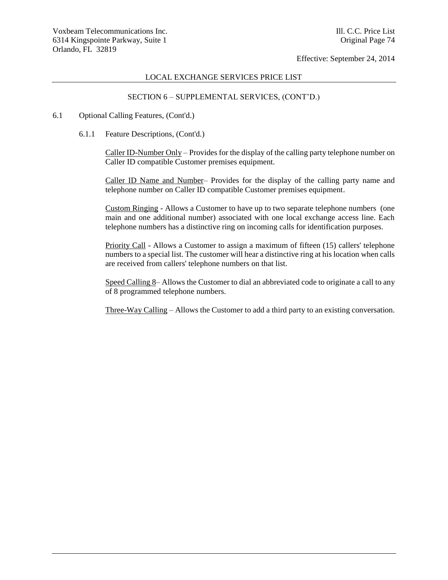#### LOCAL EXCHANGE SERVICES PRICE LIST

## SECTION 6 – SUPPLEMENTAL SERVICES, (CONT'D.)

#### 6.1 Optional Calling Features, (Cont'd.)

6.1.1 Feature Descriptions, (Cont'd.)

Caller ID-Number Only – Provides for the display of the calling party telephone number on Caller ID compatible Customer premises equipment.

Caller ID Name and Number– Provides for the display of the calling party name and telephone number on Caller ID compatible Customer premises equipment.

Custom Ringing - Allows a Customer to have up to two separate telephone numbers (one main and one additional number) associated with one local exchange access line. Each telephone numbers has a distinctive ring on incoming calls for identification purposes.

Priority Call - Allows a Customer to assign a maximum of fifteen (15) callers' telephone numbers to a special list. The customer will hear a distinctive ring at his location when calls are received from callers' telephone numbers on that list.

Speed Calling 8– Allows the Customer to dial an abbreviated code to originate a call to any of 8 programmed telephone numbers.

Three-Way Calling – Allows the Customer to add a third party to an existing conversation.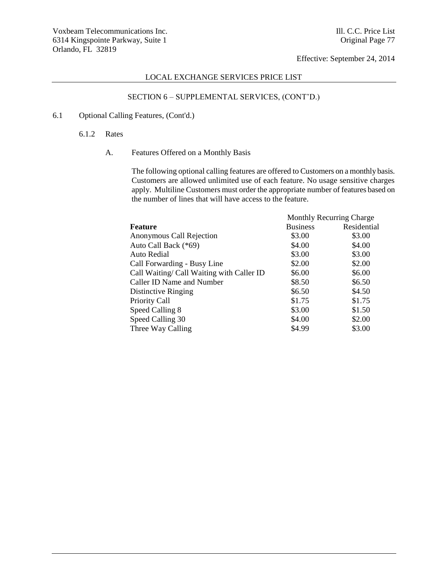## LOCAL EXCHANGE SERVICES PRICE LIST

# SECTION 6 – SUPPLEMENTAL SERVICES, (CONT'D.)

# 6.1 Optional Calling Features, (Cont'd.)

6.1.2 Rates

## A. Features Offered on a Monthly Basis

The following optional calling features are offered to Customers on a monthly basis. Customers are allowed unlimited use of each feature. No usage sensitive charges apply. Multiline Customers must order the appropriate number of features based on the number of lines that will have access to the feature.

| <b>Feature</b>                            | <b>Monthly Recurring Charge</b> |             |
|-------------------------------------------|---------------------------------|-------------|
|                                           | <b>Business</b>                 | Residential |
| Anonymous Call Rejection                  | \$3.00                          | \$3.00      |
| Auto Call Back (*69)                      | \$4.00                          | \$4.00      |
| Auto Redial                               | \$3.00                          | \$3.00      |
| Call Forwarding - Busy Line               | \$2.00                          | \$2.00      |
| Call Waiting/ Call Waiting with Caller ID | \$6.00                          | \$6.00      |
| Caller ID Name and Number                 | \$8.50                          | \$6.50      |
| Distinctive Ringing                       | \$6.50                          | \$4.50      |
| Priority Call                             | \$1.75                          | \$1.75      |
| Speed Calling 8                           | \$3.00                          | \$1.50      |
| Speed Calling 30                          | \$4.00                          | \$2.00      |
| Three Way Calling                         | \$4.99                          | \$3.00      |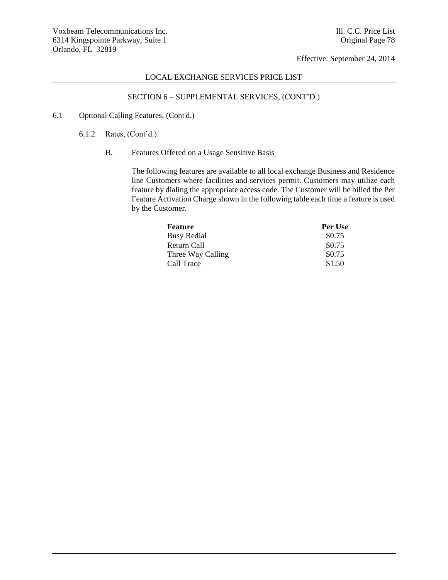## LOCAL EXCHANGE SERVICES PRICE LIST

# SECTION 6 – SUPPLEMENTAL SERVICES, (CONT'D.)

- 6.1 Optional Calling Features, (Cont'd.)
	- 6.1.2 Rates, (Cont'd.)
		- B. Features Offered on a Usage Sensitive Basis

The following features are available to all local exchange Business and Residence line Customers where facilities and services permit. Customers may utilize each feature by dialing the appropriate access code. The Customer will be billed the Per Feature Activation Charge shown in the following table each time a feature is used by the Customer.

| Feature            | Per Use |
|--------------------|---------|
| <b>Busy Redial</b> | \$0.75  |
| Return Call        | \$0.75  |
| Three Way Calling  | \$0.75  |
| Call Trace         | \$1.50  |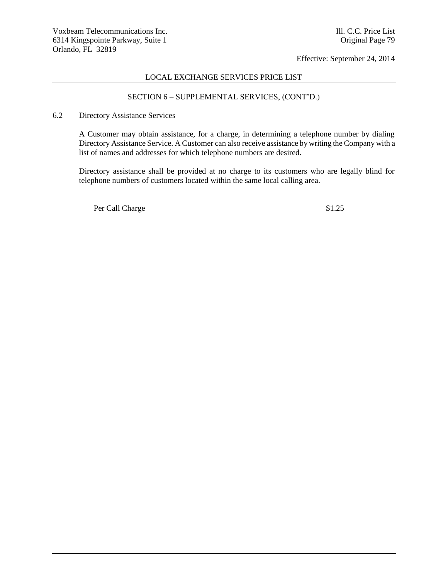## LOCAL EXCHANGE SERVICES PRICE LIST

# SECTION 6 – SUPPLEMENTAL SERVICES, (CONT'D.)

6.2 Directory Assistance Services

A Customer may obtain assistance, for a charge, in determining a telephone number by dialing Directory Assistance Service. A Customer can also receive assistance by writing the Company with a list of names and addresses for which telephone numbers are desired.

Directory assistance shall be provided at no charge to its customers who are legally blind for telephone numbers of customers located within the same local calling area.

Per Call Charge  $$1.25$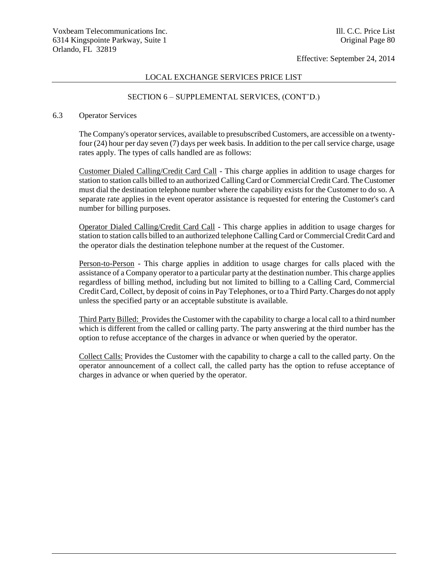## LOCAL EXCHANGE SERVICES PRICE LIST

## SECTION 6 – SUPPLEMENTAL SERVICES, (CONT'D.)

#### 6.3 Operator Services

The Company's operator services, available to presubscribed Customers, are accessible on a twentyfour (24) hour per day seven (7) days per week basis. In addition to the per call service charge, usage rates apply. The types of calls handled are as follows:

Customer Dialed Calling/Credit Card Call - This charge applies in addition to usage charges for station to station calls billed to an authorized Calling Card or Commercial Credit Card. The Customer must dial the destination telephone number where the capability exists for the Customer to do so. A separate rate applies in the event operator assistance is requested for entering the Customer's card number for billing purposes.

Operator Dialed Calling/Credit Card Call - This charge applies in addition to usage charges for station to station calls billed to an authorized telephone Calling Card or Commercial Credit Card and the operator dials the destination telephone number at the request of the Customer.

Person-to-Person - This charge applies in addition to usage charges for calls placed with the assistance of a Company operator to a particular party at the destination number. This charge applies regardless of billing method, including but not limited to billing to a Calling Card, Commercial Credit Card, Collect, by deposit of coins in Pay Telephones, or to a Third Party. Charges do not apply unless the specified party or an acceptable substitute is available.

Third Party Billed: Provides the Customer with the capability to charge a local call to a third number which is different from the called or calling party. The party answering at the third number has the option to refuse acceptance of the charges in advance or when queried by the operator.

Collect Calls: Provides the Customer with the capability to charge a call to the called party. On the operator announcement of a collect call, the called party has the option to refuse acceptance of charges in advance or when queried by the operator.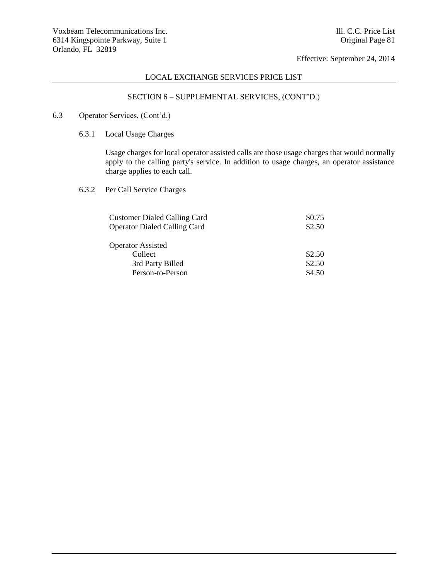# LOCAL EXCHANGE SERVICES PRICE LIST

# SECTION 6 – SUPPLEMENTAL SERVICES, (CONT'D.)

## 6.3 Operator Services, (Cont'd.)

6.3.1 Local Usage Charges

Usage charges for local operator assisted calls are those usage charges that would normally apply to the calling party's service. In addition to usage charges, an operator assistance charge applies to each call.

6.3.2 Per Call Service Charges

| <b>Customer Dialed Calling Card</b> | \$0.75 |
|-------------------------------------|--------|
| <b>Operator Dialed Calling Card</b> | \$2.50 |
|                                     |        |
| <b>Operator Assisted</b>            |        |
| Collect                             | \$2.50 |
| 3rd Party Billed                    | \$2.50 |
| Person-to-Person                    | \$4.50 |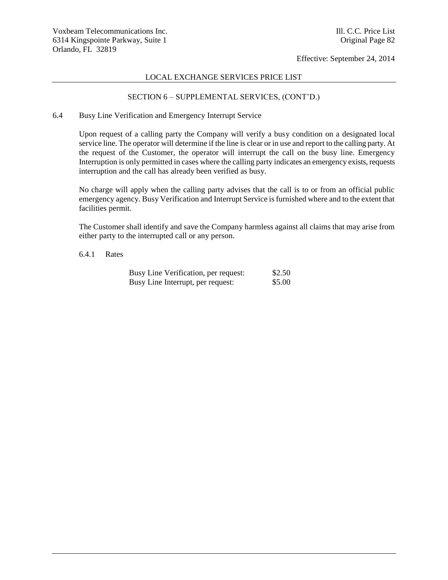### LOCAL EXCHANGE SERVICES PRICE LIST

## SECTION 6 – SUPPLEMENTAL SERVICES, (CONT'D.)

### 6.4 Busy Line Verification and Emergency Interrupt Service

Upon request of a calling party the Company will verify a busy condition on a designated local service line. The operator will determine if the line is clear or in use and report to the calling party. At the request of the Customer, the operator will interrupt the call on the busy line. Emergency Interruption is only permitted in cases where the calling party indicates an emergency exists, requests interruption and the call has already been verified as busy.

No charge will apply when the calling party advises that the call is to or from an official public emergency agency. Busy Verification and Interrupt Service is furnished where and to the extent that facilities permit.

The Customer shall identify and save the Company harmless against all claims that may arise from either party to the interrupted call or any person.

#### 6.4.1 Rates

| Busy Line Verification, per request: | \$2.50 |
|--------------------------------------|--------|
| Busy Line Interrupt, per request:    | \$5.00 |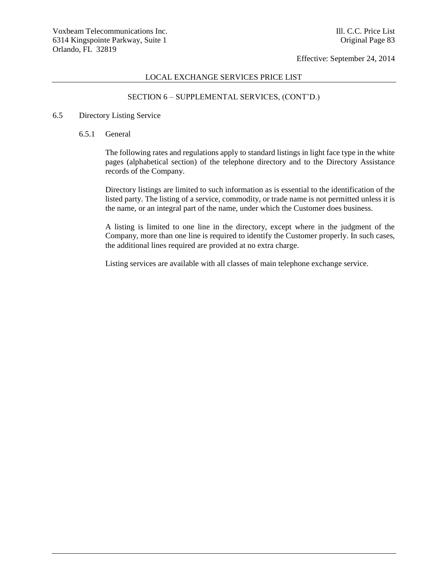#### LOCAL EXCHANGE SERVICES PRICE LIST

## SECTION 6 – SUPPLEMENTAL SERVICES, (CONT'D.)

#### 6.5 Directory Listing Service

#### 6.5.1 General

The following rates and regulations apply to standard listings in light face type in the white pages (alphabetical section) of the telephone directory and to the Directory Assistance records of the Company.

Directory listings are limited to such information as is essential to the identification of the listed party. The listing of a service, commodity, or trade name is not permitted unless it is the name, or an integral part of the name, under which the Customer does business.

A listing is limited to one line in the directory, except where in the judgment of the Company, more than one line is required to identify the Customer properly. In such cases, the additional lines required are provided at no extra charge.

Listing services are available with all classes of main telephone exchange service.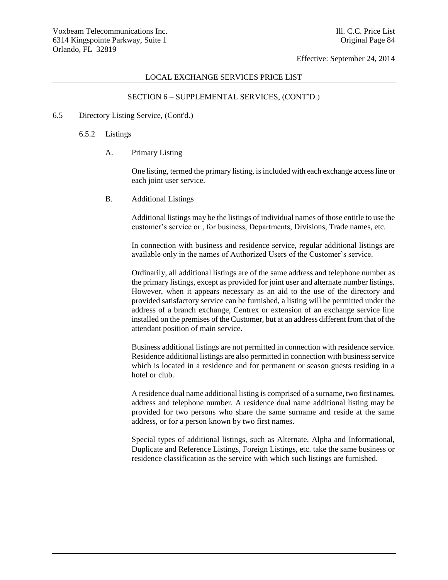#### LOCAL EXCHANGE SERVICES PRICE LIST

## SECTION 6 – SUPPLEMENTAL SERVICES, (CONT'D.)

#### 6.5 Directory Listing Service, (Cont'd.)

- 6.5.2 Listings
	- A. Primary Listing

One listing, termed the primary listing, is included with each exchange access line or each joint user service.

B. Additional Listings

Additional listings may be the listings of individual names of those entitle to use the customer's service or , for business, Departments, Divisions, Trade names, etc.

In connection with business and residence service, regular additional listings are available only in the names of Authorized Users of the Customer's service.

Ordinarily, all additional listings are of the same address and telephone number as the primary listings, except as provided for joint user and alternate number listings. However, when it appears necessary as an aid to the use of the directory and provided satisfactory service can be furnished, a listing will be permitted under the address of a branch exchange, Centrex or extension of an exchange service line installed on the premises of the Customer, but at an address different from that of the attendant position of main service.

Business additional listings are not permitted in connection with residence service. Residence additional listings are also permitted in connection with business service which is located in a residence and for permanent or season guests residing in a hotel or club.

A residence dual name additional listing is comprised of a surname, two first names, address and telephone number. A residence dual name additional listing may be provided for two persons who share the same surname and reside at the same address, or for a person known by two first names.

Special types of additional listings, such as Alternate, Alpha and Informational, Duplicate and Reference Listings, Foreign Listings, etc. take the same business or residence classification as the service with which such listings are furnished.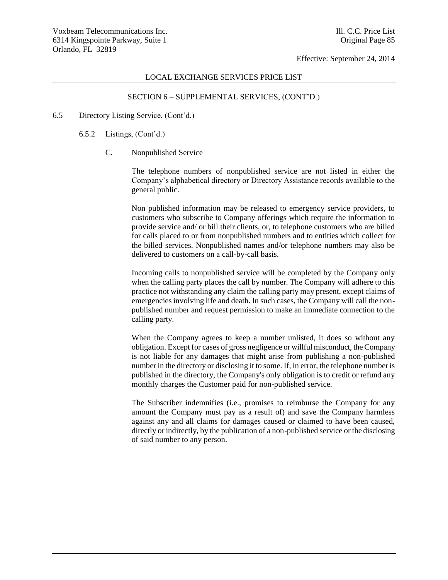#### LOCAL EXCHANGE SERVICES PRICE LIST

## SECTION 6 – SUPPLEMENTAL SERVICES, (CONT'D.)

#### 6.5 Directory Listing Service, (Cont'd.)

- 6.5.2 Listings, (Cont'd.)
	- C. Nonpublished Service

The telephone numbers of nonpublished service are not listed in either the Company's alphabetical directory or Directory Assistance records available to the general public.

Non published information may be released to emergency service providers, to customers who subscribe to Company offerings which require the information to provide service and/ or bill their clients, or, to telephone customers who are billed for calls placed to or from nonpublished numbers and to entities which collect for the billed services. Nonpublished names and/or telephone numbers may also be delivered to customers on a call-by-call basis.

Incoming calls to nonpublished service will be completed by the Company only when the calling party places the call by number. The Company will adhere to this practice not withstanding any claim the calling party may present, except claims of emergencies involving life and death. In such cases, the Company will call the nonpublished number and request permission to make an immediate connection to the calling party.

When the Company agrees to keep a number unlisted, it does so without any obligation. Except for cases of gross negligence or willful misconduct, the Company is not liable for any damages that might arise from publishing a non-published number in the directory or disclosing it to some. If, in error, the telephone number is published in the directory, the Company's only obligation is to credit or refund any monthly charges the Customer paid for non-published service.

The Subscriber indemnifies (i.e., promises to reimburse the Company for any amount the Company must pay as a result of) and save the Company harmless against any and all claims for damages caused or claimed to have been caused, directly or indirectly, by the publication of a non-published service or the disclosing of said number to any person.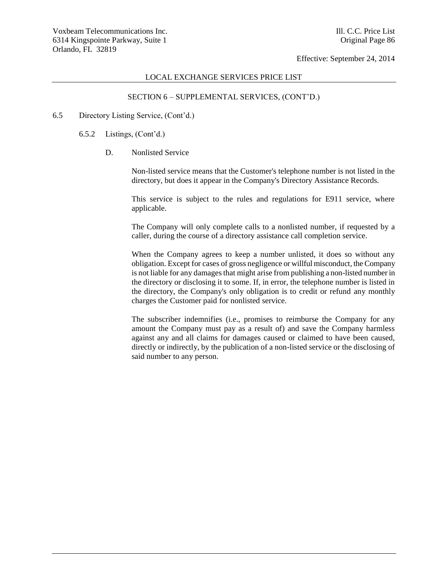#### LOCAL EXCHANGE SERVICES PRICE LIST

## SECTION 6 – SUPPLEMENTAL SERVICES, (CONT'D.)

#### 6.5 Directory Listing Service, (Cont'd.)

- 6.5.2 Listings, (Cont'd.)
	- D. Nonlisted Service

Non-listed service means that the Customer's telephone number is not listed in the directory, but does it appear in the Company's Directory Assistance Records.

This service is subject to the rules and regulations for E911 service, where applicable.

The Company will only complete calls to a nonlisted number, if requested by a caller, during the course of a directory assistance call completion service.

When the Company agrees to keep a number unlisted, it does so without any obligation. Except for cases of gross negligence or willful misconduct, the Company is not liable for any damages that might arise from publishing a non-listed number in the directory or disclosing it to some. If, in error, the telephone number is listed in the directory, the Company's only obligation is to credit or refund any monthly charges the Customer paid for nonlisted service.

The subscriber indemnifies (i.e., promises to reimburse the Company for any amount the Company must pay as a result of) and save the Company harmless against any and all claims for damages caused or claimed to have been caused, directly or indirectly, by the publication of a non-listed service or the disclosing of said number to any person.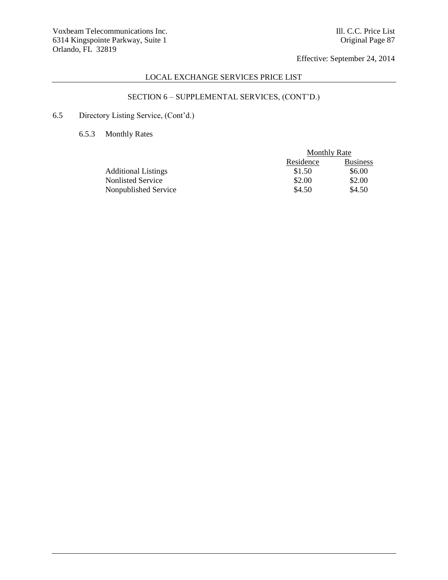# LOCAL EXCHANGE SERVICES PRICE LIST

# SECTION 6 – SUPPLEMENTAL SERVICES, (CONT'D.)

# 6.5 Directory Listing Service, (Cont'd.)

# 6.5.3 Monthly Rates

| <b>Monthly Rate</b> |                 |
|---------------------|-----------------|
| Residence           | <b>Business</b> |
| \$1.50              | \$6.00          |
| \$2.00              | \$2.00          |
| \$4.50              | \$4.50          |
|                     |                 |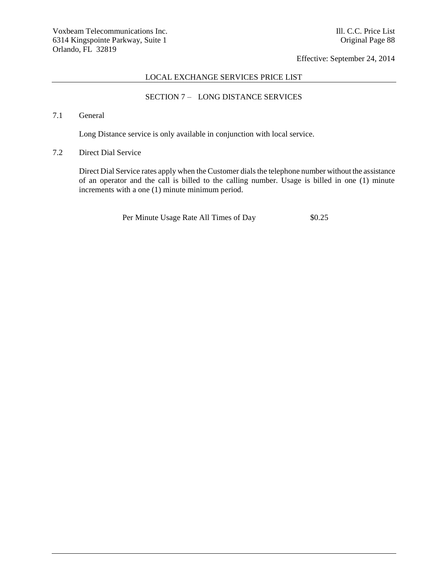## LOCAL EXCHANGE SERVICES PRICE LIST

# SECTION 7 – LONG DISTANCE SERVICES

# 7.1 General

Long Distance service is only available in conjunction with local service.

# 7.2 Direct Dial Service

Direct Dial Service rates apply when the Customer dials the telephone number without the assistance of an operator and the call is billed to the calling number. Usage is billed in one (1) minute increments with a one (1) minute minimum period.

Per Minute Usage Rate All Times of Day \$0.25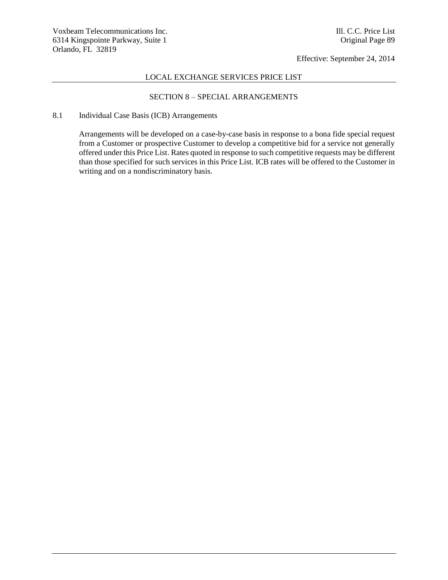## LOCAL EXCHANGE SERVICES PRICE LIST

# SECTION 8 – SPECIAL ARRANGEMENTS

### 8.1 Individual Case Basis (ICB) Arrangements

Arrangements will be developed on a case-by-case basis in response to a bona fide special request from a Customer or prospective Customer to develop a competitive bid for a service not generally offered under this Price List. Rates quoted in response to such competitive requests may be different than those specified for such services in this Price List. ICB rates will be offered to the Customer in writing and on a nondiscriminatory basis.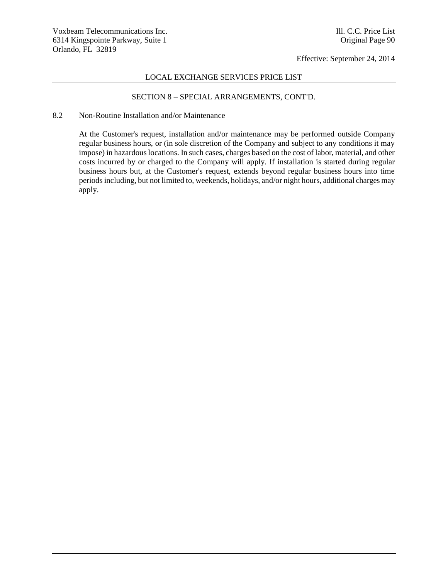## LOCAL EXCHANGE SERVICES PRICE LIST

## SECTION 8 – SPECIAL ARRANGEMENTS, CONT'D.

#### 8.2 Non-Routine Installation and/or Maintenance

At the Customer's request, installation and/or maintenance may be performed outside Company regular business hours, or (in sole discretion of the Company and subject to any conditions it may impose) in hazardous locations. In such cases, charges based on the cost of labor, material, and other costs incurred by or charged to the Company will apply. If installation is started during regular business hours but, at the Customer's request, extends beyond regular business hours into time periods including, but not limited to, weekends, holidays, and/or night hours, additional charges may apply.